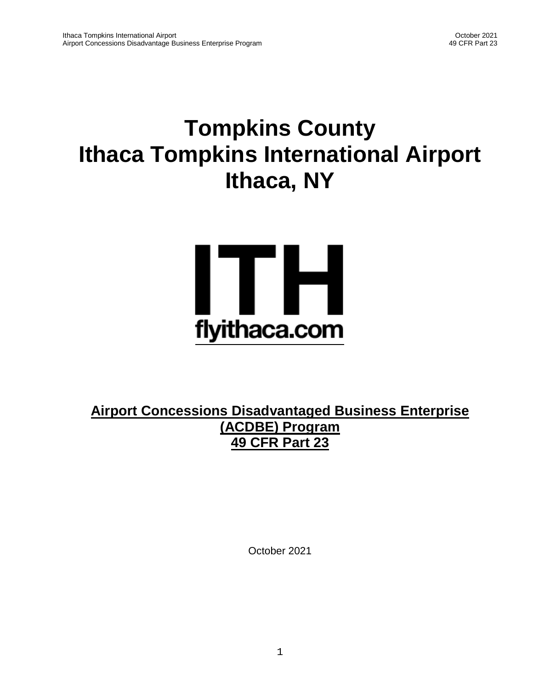# **Tompkins County Ithaca Tompkins International Airport Ithaca, NY**



**Airport Concessions Disadvantaged Business Enterprise (ACDBE) Program 49 CFR Part 23**

October 2021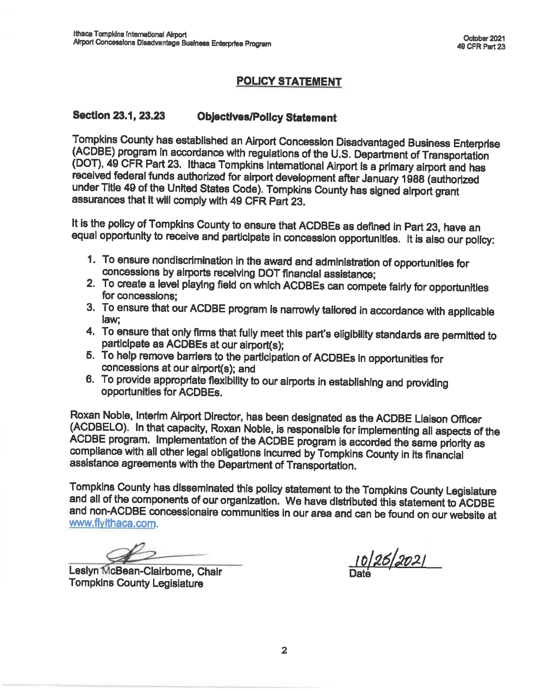# **POLICY STATEMENT**

#### **Section 23.1, 23.23 Objectives/Policy Statement**

Tompkins County has established an Airport Concession Disadvantaged Business Enterprise (ACDBE) program in accordance with regulations of the U.S. Department of Transportation (DOT), 49 CFR Part 23. Ithaca Tompkins International Airport is a primary airport and has received federal funds authorized for airport development after January 1988 (authorized under Title 49 of the United States Code). Tompkins County has signed airport grant assurances that it will comply with 49 CFR Part 23.

It is the policy of Tompkins County to ensure that ACDBEs as defined in Part 23, have an equal opportunity to receive and participate in concession opportunities. It is also our policy:

- 1. To ensure nondiscrimination in the award and administration of opportunities for concessions by airports receiving DOT financial assistance;
- 2. To create a level playing field on which ACDBEs can compete fairly for opportunities for concessions:
- 3. To ensure that our ACDBE program is narrowly tailored in accordance with applicable law:
- 4. To ensure that only firms that fully meet this part's eligibility standards are permitted to participate as ACDBEs at our airport(s);
- 5. To help remove barriers to the participation of ACDBEs in opportunities for concessions at our airport(s); and
- 6. To provide appropriate flexibility to our airports in establishing and providing opportunities for ACDBEs.

Roxan Noble, Interim Airport Director, has been designated as the ACDBE Liaison Officer (ACDBELO). In that capacity, Roxan Noble, is responsible for implementing all aspects of the ACDBE program. Implementation of the ACDBE program is accorded the same priority as compliance with all other legal obligations incurred by Tompkins County in its financial assistance agreements with the Department of Transportation.

Tompkins County has disseminated this policy statement to the Tompkins County Legislature and all of the components of our organization. We have distributed this statement to ACDBE and non-ACDBE concessionaire communities in our area and can be found on our website at www.flyithaca.com.

Leslyn McBean-Clairborne, Chair **Tompkins County Legislature** 

10/26/2021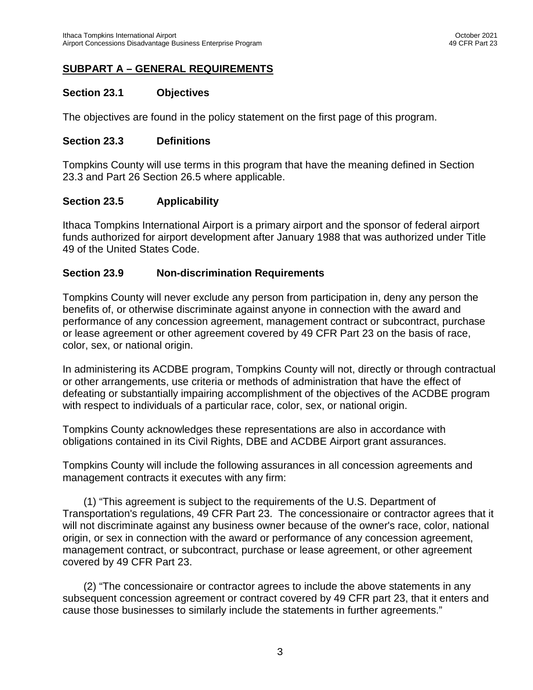# **SUBPART A – GENERAL REQUIREMENTS**

#### **Section 23.1 Objectives**

The objectives are found in the policy statement on the first page of this program.

#### **Section 23.3 Definitions**

Tompkins County will use terms in this program that have the meaning defined in Section 23.3 and Part 26 Section 26.5 where applicable.

#### **Section 23.5 Applicability**

Ithaca Tompkins International Airport is a primary airport and the sponsor of federal airport funds authorized for airport development after January 1988 that was authorized under Title 49 of the United States Code.

#### **Section 23.9 Non-discrimination Requirements**

Tompkins County will never exclude any person from participation in, deny any person the benefits of, or otherwise discriminate against anyone in connection with the award and performance of any concession agreement, management contract or subcontract, purchase or lease agreement or other agreement covered by 49 CFR Part 23 on the basis of race, color, sex, or national origin.

In administering its ACDBE program, Tompkins County will not, directly or through contractual or other arrangements, use criteria or methods of administration that have the effect of defeating or substantially impairing accomplishment of the objectives of the ACDBE program with respect to individuals of a particular race, color, sex, or national origin.

Tompkins County acknowledges these representations are also in accordance with obligations contained in its Civil Rights, DBE and ACDBE Airport grant assurances.

Tompkins County will include the following assurances in all concession agreements and management contracts it executes with any firm:

(1) "This agreement is subject to the requirements of the U.S. Department of Transportation's regulations, 49 CFR Part 23. The concessionaire or contractor agrees that it will not discriminate against any business owner because of the owner's race, color, national origin, or sex in connection with the award or performance of any concession agreement, management contract, or subcontract, purchase or lease agreement, or other agreement covered by 49 CFR Part 23.

(2) "The concessionaire or contractor agrees to include the above statements in any subsequent concession agreement or contract covered by 49 CFR part 23, that it enters and cause those businesses to similarly include the statements in further agreements."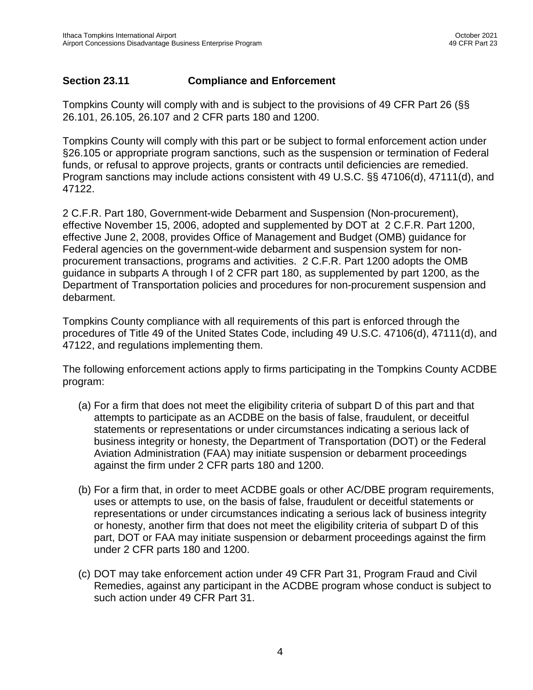## **Section 23.11 Compliance and Enforcement**

Tompkins County will comply with and is subject to the provisions of 49 CFR Part 26 (§§ 26.101, 26.105, 26.107 and 2 CFR parts 180 and 1200.

Tompkins County will comply with this part or be subject to formal enforcement action under §26.105 or appropriate program sanctions, such as the suspension or termination of Federal funds, or refusal to approve projects, grants or contracts until deficiencies are remedied. Program sanctions may include actions consistent with 49 U.S.C. §§ 47106(d), 47111(d), and 47122.

2 C.F.R. Part 180, Government-wide Debarment and Suspension (Non-procurement), effective November 15, 2006, adopted and supplemented by DOT at 2 C.F.R. Part 1200, effective June 2, 2008, provides Office of Management and Budget (OMB) guidance for Federal agencies on the government-wide debarment and suspension system for nonprocurement transactions, programs and activities. 2 C.F.R. Part 1200 adopts the OMB guidance in subparts A through I of 2 CFR part 180, as supplemented by part 1200, as the Department of Transportation policies and procedures for non-procurement suspension and debarment.

Tompkins County compliance with all requirements of this part is enforced through the procedures of Title 49 of the United States Code, including 49 U.S.C. 47106(d), 47111(d), and 47122, and regulations implementing them.

The following enforcement actions apply to firms participating in the Tompkins County ACDBE program:

- (a) For a firm that does not meet the eligibility criteria of subpart D of this part and that attempts to participate as an ACDBE on the basis of false, fraudulent, or deceitful statements or representations or under circumstances indicating a serious lack of business integrity or honesty, the Department of Transportation (DOT) or the Federal Aviation Administration (FAA) may initiate suspension or debarment proceedings against the firm under 2 CFR parts 180 and 1200.
- (b) For a firm that, in order to meet ACDBE goals or other AC/DBE program requirements, uses or attempts to use, on the basis of false, fraudulent or deceitful statements or representations or under circumstances indicating a serious lack of business integrity or honesty, another firm that does not meet the eligibility criteria of subpart D of this part, DOT or FAA may initiate suspension or debarment proceedings against the firm under 2 CFR parts 180 and 1200.
- (c) DOT may take enforcement action under 49 CFR Part 31, Program Fraud and Civil Remedies, against any participant in the ACDBE program whose conduct is subject to such action under 49 CFR Part 31.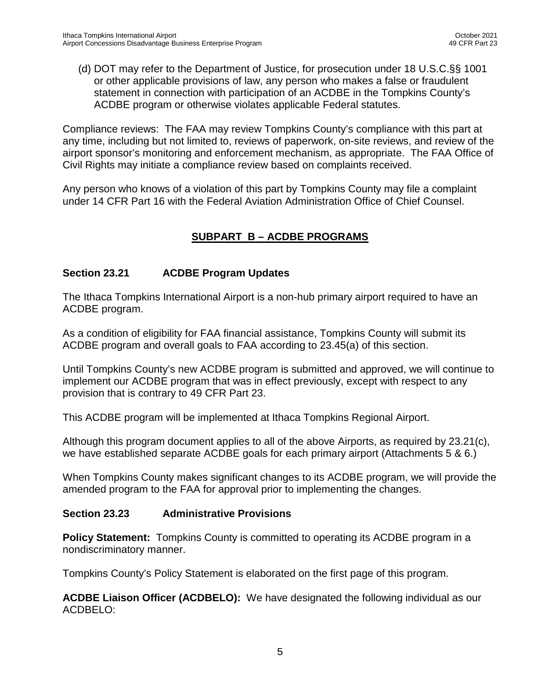(d) DOT may refer to the Department of Justice, for prosecution under 18 U.S.C.§§ 1001 or other applicable provisions of law, any person who makes a false or fraudulent statement in connection with participation of an ACDBE in the Tompkins County's ACDBE program or otherwise violates applicable Federal statutes.

Compliance reviews: The FAA may review Tompkins County's compliance with this part at any time, including but not limited to, reviews of paperwork, on-site reviews, and review of the airport sponsor's monitoring and enforcement mechanism, as appropriate. The FAA Office of Civil Rights may initiate a compliance review based on complaints received.

Any person who knows of a violation of this part by Tompkins County may file a complaint under 14 CFR Part 16 with the Federal Aviation Administration Office of Chief Counsel.

# **SUBPART B – ACDBE PROGRAMS**

# **Section 23.21 ACDBE Program Updates**

The Ithaca Tompkins International Airport is a non-hub primary airport required to have an ACDBE program.

As a condition of eligibility for FAA financial assistance, Tompkins County will submit its ACDBE program and overall goals to FAA according to 23.45(a) of this section.

Until Tompkins County's new ACDBE program is submitted and approved, we will continue to implement our ACDBE program that was in effect previously, except with respect to any provision that is contrary to 49 CFR Part 23.

This ACDBE program will be implemented at Ithaca Tompkins Regional Airport.

Although this program document applies to all of the above Airports, as required by 23.21(c), we have established separate ACDBE goals for each primary airport (Attachments 5 & 6.)

When Tompkins County makes significant changes to its ACDBE program, we will provide the amended program to the FAA for approval prior to implementing the changes.

## **Section 23.23 Administrative Provisions**

**Policy Statement:** Tompkins County is committed to operating its ACDBE program in a nondiscriminatory manner.

Tompkins County's Policy Statement is elaborated on the first page of this program.

**ACDBE Liaison Officer (ACDBELO):** We have designated the following individual as our ACDBELO: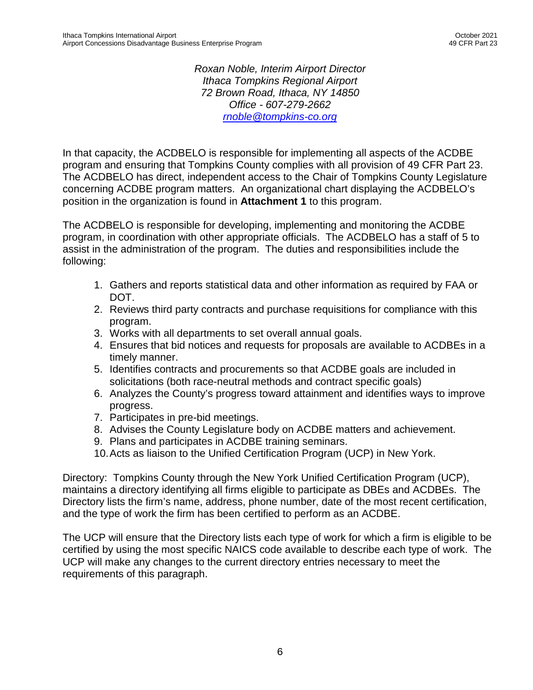*Roxan Noble, Interim Airport Director Ithaca Tompkins Regional Airport 72 Brown Road, Ithaca, NY 14850 Office - 607-279-2662 [rnoble@tompkins-co.org](mailto:rnoble@tompkins-co.org)*

In that capacity, the ACDBELO is responsible for implementing all aspects of the ACDBE program and ensuring that Tompkins County complies with all provision of 49 CFR Part 23. The ACDBELO has direct, independent access to the Chair of Tompkins County Legislature concerning ACDBE program matters. An organizational chart displaying the ACDBELO's position in the organization is found in **Attachment 1** to this program.

The ACDBELO is responsible for developing, implementing and monitoring the ACDBE program, in coordination with other appropriate officials. The ACDBELO has a staff of 5 to assist in the administration of the program. The duties and responsibilities include the following:

- 1. Gathers and reports statistical data and other information as required by FAA or DOT.
- 2. Reviews third party contracts and purchase requisitions for compliance with this program.
- 3. Works with all departments to set overall annual goals.
- 4. Ensures that bid notices and requests for proposals are available to ACDBEs in a timely manner.
- 5. Identifies contracts and procurements so that ACDBE goals are included in solicitations (both race-neutral methods and contract specific goals)
- 6. Analyzes the County's progress toward attainment and identifies ways to improve progress.
- 7. Participates in pre-bid meetings.
- 8. Advises the County Legislature body on ACDBE matters and achievement.
- 9. Plans and participates in ACDBE training seminars.
- 10.Acts as liaison to the Unified Certification Program (UCP) in New York.

Directory: Tompkins County through the New York Unified Certification Program (UCP), maintains a directory identifying all firms eligible to participate as DBEs and ACDBEs. The Directory lists the firm's name, address, phone number, date of the most recent certification, and the type of work the firm has been certified to perform as an ACDBE.

The UCP will ensure that the Directory lists each type of work for which a firm is eligible to be certified by using the most specific NAICS code available to describe each type of work. The UCP will make any changes to the current directory entries necessary to meet the requirements of this paragraph.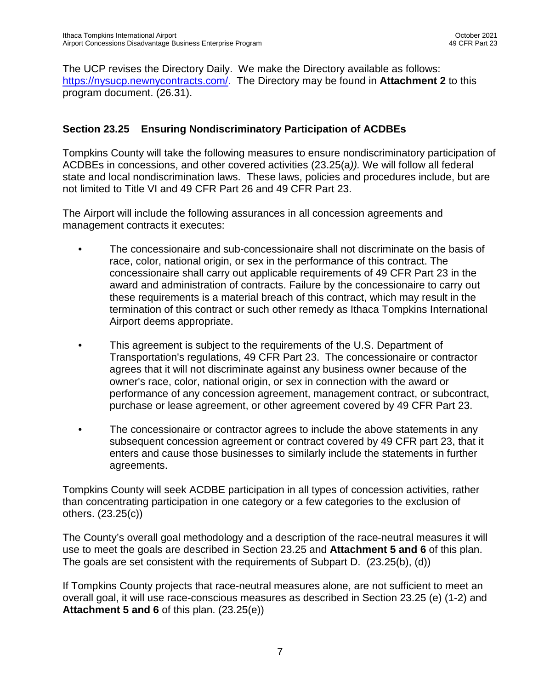The UCP revises the Directory Daily. We make the Directory available as follows: [https://nysucp.newnycontracts.com/.](https://nysucp.newnycontracts.com/) The Directory may be found in **Attachment 2** to this program document. (26.31).

## **Section 23.25 Ensuring Nondiscriminatory Participation of ACDBEs**

Tompkins County will take the following measures to ensure nondiscriminatory participation of ACDBEs in concessions, and other covered activities (23.25(a*)).* We will follow all federal state and local nondiscrimination laws. These laws, policies and procedures include, but are not limited to Title VI and 49 CFR Part 26 and 49 CFR Part 23.

The Airport will include the following assurances in all concession agreements and management contracts it executes:

- The concessionaire and sub-concessionaire shall not discriminate on the basis of race, color, national origin, or sex in the performance of this contract. The concessionaire shall carry out applicable requirements of 49 CFR Part 23 in the award and administration of contracts. Failure by the concessionaire to carry out these requirements is a material breach of this contract, which may result in the termination of this contract or such other remedy as Ithaca Tompkins International Airport deems appropriate.
- This agreement is subject to the requirements of the U.S. Department of Transportation's regulations, 49 CFR Part 23. The concessionaire or contractor agrees that it will not discriminate against any business owner because of the owner's race, color, national origin, or sex in connection with the award or performance of any concession agreement, management contract, or subcontract, purchase or lease agreement, or other agreement covered by 49 CFR Part 23.
- The concessionaire or contractor agrees to include the above statements in any subsequent concession agreement or contract covered by 49 CFR part 23, that it enters and cause those businesses to similarly include the statements in further agreements.

Tompkins County will seek ACDBE participation in all types of concession activities, rather than concentrating participation in one category or a few categories to the exclusion of others. (23.25(c))

The County's overall goal methodology and a description of the race-neutral measures it will use to meet the goals are described in Section 23.25 and **Attachment 5 and 6** of this plan. The goals are set consistent with the requirements of Subpart D. (23.25(b), (d))

If Tompkins County projects that race-neutral measures alone, are not sufficient to meet an overall goal, it will use race-conscious measures as described in Section 23.25 (e) (1-2) and **Attachment 5 and 6** of this plan. (23.25(e))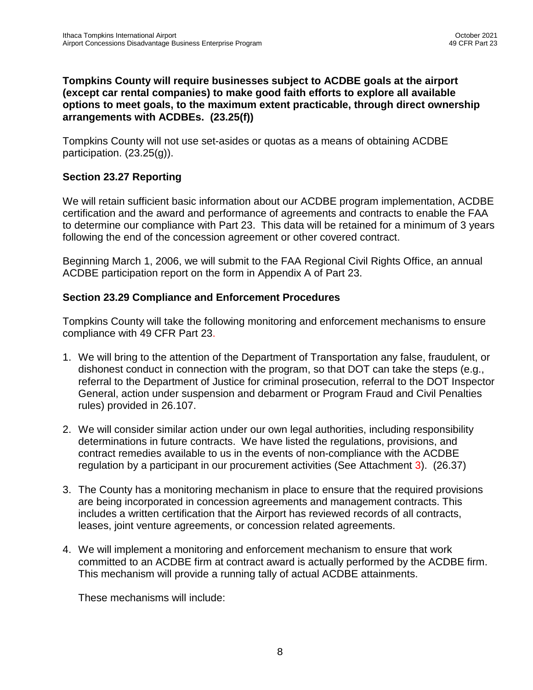#### **Tompkins County will require businesses subject to ACDBE goals at the airport (except car rental companies) to make good faith efforts to explore all available options to meet goals, to the maximum extent practicable, through direct ownership arrangements with ACDBEs. (23.25(f))**

Tompkins County will not use set-asides or quotas as a means of obtaining ACDBE participation. (23.25(g)).

## **Section 23.27 Reporting**

We will retain sufficient basic information about our ACDBE program implementation, ACDBE certification and the award and performance of agreements and contracts to enable the FAA to determine our compliance with Part 23. This data will be retained for a minimum of 3 years following the end of the concession agreement or other covered contract.

Beginning March 1, 2006, we will submit to the FAA Regional Civil Rights Office, an annual ACDBE participation report on the form in Appendix A of Part 23.

## **Section 23.29 Compliance and Enforcement Procedures**

Tompkins County will take the following monitoring and enforcement mechanisms to ensure compliance with 49 CFR Part 23.

- 1. We will bring to the attention of the Department of Transportation any false, fraudulent, or dishonest conduct in connection with the program, so that DOT can take the steps (e.g., referral to the Department of Justice for criminal prosecution, referral to the DOT Inspector General, action under suspension and debarment or Program Fraud and Civil Penalties rules) provided in 26.107.
- 2. We will consider similar action under our own legal authorities, including responsibility determinations in future contracts. We have listed the regulations, provisions, and contract remedies available to us in the events of non-compliance with the ACDBE regulation by a participant in our procurement activities (See Attachment 3). (26.37)
- 3. The County has a monitoring mechanism in place to ensure that the required provisions are being incorporated in concession agreements and management contracts. This includes a written certification that the Airport has reviewed records of all contracts, leases, joint venture agreements, or concession related agreements.
- 4. We will implement a monitoring and enforcement mechanism to ensure that work committed to an ACDBE firm at contract award is actually performed by the ACDBE firm. This mechanism will provide a running tally of actual ACDBE attainments.

These mechanisms will include: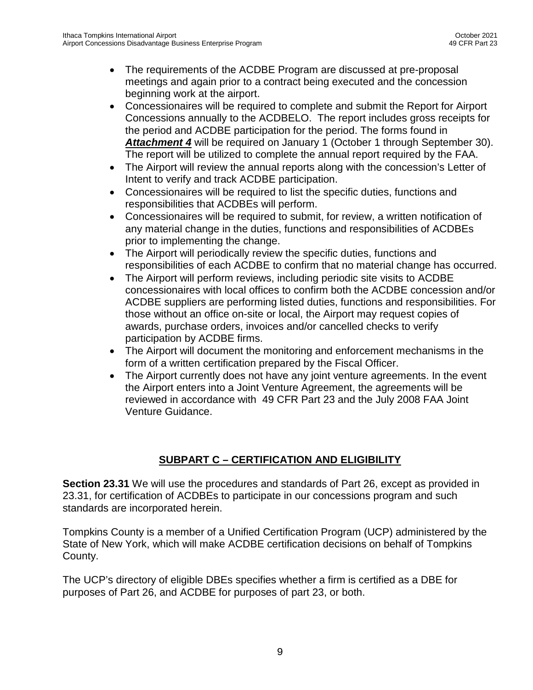- The requirements of the ACDBE Program are discussed at pre-proposal meetings and again prior to a contract being executed and the concession beginning work at the airport.
- Concessionaires will be required to complete and submit the Report for Airport Concessions annually to the ACDBELO. The report includes gross receipts for the period and ACDBE participation for the period. The forms found in *Attachment 4* will be required on January 1 (October 1 through September 30). The report will be utilized to complete the annual report required by the FAA.
- The Airport will review the annual reports along with the concession's Letter of Intent to verify and track ACDBE participation.
- Concessionaires will be required to list the specific duties, functions and responsibilities that ACDBEs will perform.
- Concessionaires will be required to submit, for review, a written notification of any material change in the duties, functions and responsibilities of ACDBEs prior to implementing the change.
- The Airport will periodically review the specific duties, functions and responsibilities of each ACDBE to confirm that no material change has occurred.
- The Airport will perform reviews, including periodic site visits to ACDBE concessionaires with local offices to confirm both the ACDBE concession and/or ACDBE suppliers are performing listed duties, functions and responsibilities. For those without an office on-site or local, the Airport may request copies of awards, purchase orders, invoices and/or cancelled checks to verify participation by ACDBE firms.
- The Airport will document the monitoring and enforcement mechanisms in the form of a written certification prepared by the Fiscal Officer.
- The Airport currently does not have any joint venture agreements. In the event the Airport enters into a Joint Venture Agreement, the agreements will be reviewed in accordance with 49 CFR Part 23 and the July 2008 FAA Joint Venture Guidance.

# **SUBPART C – CERTIFICATION AND ELIGIBILITY**

**Section 23.31** We will use the procedures and standards of Part 26, except as provided in 23.31, for certification of ACDBEs to participate in our concessions program and such standards are incorporated herein.

Tompkins County is a member of a Unified Certification Program (UCP) administered by the State of New York, which will make ACDBE certification decisions on behalf of Tompkins County.

The UCP's directory of eligible DBEs specifies whether a firm is certified as a DBE for purposes of Part 26, and ACDBE for purposes of part 23, or both.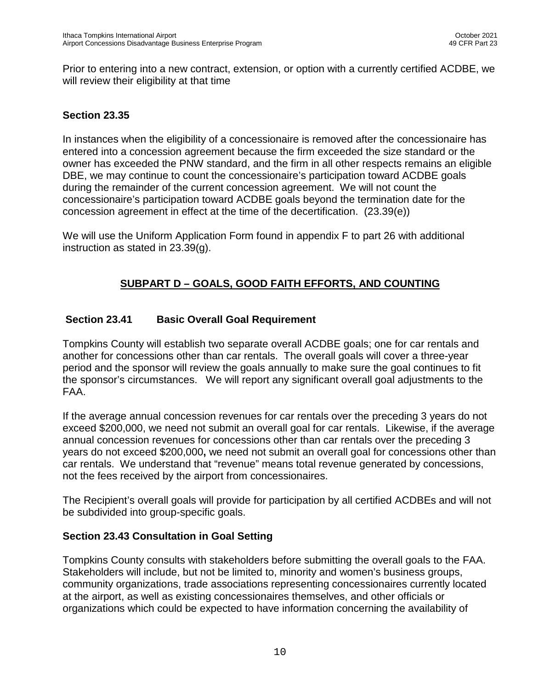Prior to entering into a new contract, extension, or option with a currently certified ACDBE, we will review their eligibility at that time

#### **Section 23.35**

In instances when the eligibility of a concessionaire is removed after the concessionaire has entered into a concession agreement because the firm exceeded the size standard or the owner has exceeded the PNW standard, and the firm in all other respects remains an eligible DBE, we may continue to count the concessionaire's participation toward ACDBE goals during the remainder of the current concession agreement. We will not count the concessionaire's participation toward ACDBE goals beyond the termination date for the concession agreement in effect at the time of the decertification. (23.39(e))

We will use the Uniform Application Form found in appendix F to part 26 with additional instruction as stated in 23.39(g).

# **SUBPART D – GOALS, GOOD FAITH EFFORTS, AND COUNTING**

## **Section 23.41 Basic Overall Goal Requirement**

Tompkins County will establish two separate overall ACDBE goals; one for car rentals and another for concessions other than car rentals. The overall goals will cover a three-year period and the sponsor will review the goals annually to make sure the goal continues to fit the sponsor's circumstances. We will report any significant overall goal adjustments to the FAA.

If the average annual concession revenues for car rentals over the preceding 3 years do not exceed \$200,000, we need not submit an overall goal for car rentals. Likewise, if the average annual concession revenues for concessions other than car rentals over the preceding 3 years do not exceed \$200,000**,** we need not submit an overall goal for concessions other than car rentals. We understand that "revenue" means total revenue generated by concessions, not the fees received by the airport from concessionaires.

The Recipient's overall goals will provide for participation by all certified ACDBEs and will not be subdivided into group-specific goals.

## **Section 23.43 Consultation in Goal Setting**

Tompkins County consults with stakeholders before submitting the overall goals to the FAA. Stakeholders will include, but not be limited to, minority and women's business groups, community organizations, trade associations representing concessionaires currently located at the airport, as well as existing concessionaires themselves, and other officials or organizations which could be expected to have information concerning the availability of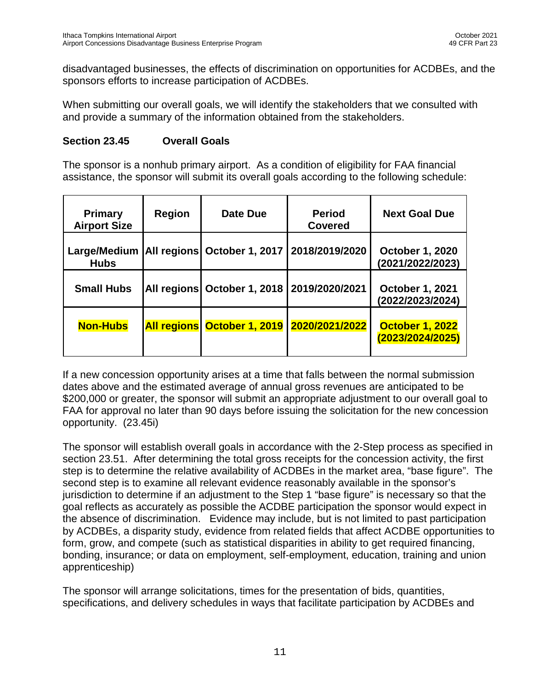disadvantaged businesses, the effects of discrimination on opportunities for ACDBEs, and the sponsors efforts to increase participation of ACDBEs.

When submitting our overall goals, we will identify the stakeholders that we consulted with and provide a summary of the information obtained from the stakeholders.

#### **Section 23.45 Overall Goals**

The sponsor is a nonhub primary airport. As a condition of eligibility for FAA financial assistance, the sponsor will submit its overall goals according to the following schedule:

| <b>Primary</b><br><b>Airport Size</b> | <b>Region</b>      | Date Due                                       | <b>Period</b><br><b>Covered</b> | <b>Next Goal Due</b>                       |
|---------------------------------------|--------------------|------------------------------------------------|---------------------------------|--------------------------------------------|
| Large/Medium<br><b>Hubs</b>           |                    | All regions   October 1, 2017   2018/2019/2020 |                                 | <b>October 1, 2020</b><br>(2021/2022/2023) |
| <b>Small Hubs</b>                     |                    | All regions   October 1, 2018   2019/2020/2021 |                                 | <b>October 1, 2021</b><br>(2022/2023/2024) |
| <b>Non-Hubs</b>                       | <b>All regions</b> |                                                | October 1, 2019 2020/2021/2022  | <b>October 1, 2022</b><br>(2023/2024/2025) |

If a new concession opportunity arises at a time that falls between the normal submission dates above and the estimated average of annual gross revenues are anticipated to be \$200,000 or greater, the sponsor will submit an appropriate adjustment to our overall goal to FAA for approval no later than 90 days before issuing the solicitation for the new concession opportunity. (23.45i)

The sponsor will establish overall goals in accordance with the 2-Step process as specified in section 23.51. After determining the total gross receipts for the concession activity, the first step is to determine the relative availability of ACDBEs in the market area, "base figure". The second step is to examine all relevant evidence reasonably available in the sponsor's jurisdiction to determine if an adjustment to the Step 1 "base figure" is necessary so that the goal reflects as accurately as possible the ACDBE participation the sponsor would expect in the absence of discrimination. Evidence may include, but is not limited to past participation by ACDBEs, a disparity study, evidence from related fields that affect ACDBE opportunities to form, grow, and compete (such as statistical disparities in ability to get required financing, bonding, insurance; or data on employment, self-employment, education, training and union apprenticeship)

The sponsor will arrange solicitations, times for the presentation of bids, quantities, specifications, and delivery schedules in ways that facilitate participation by ACDBEs and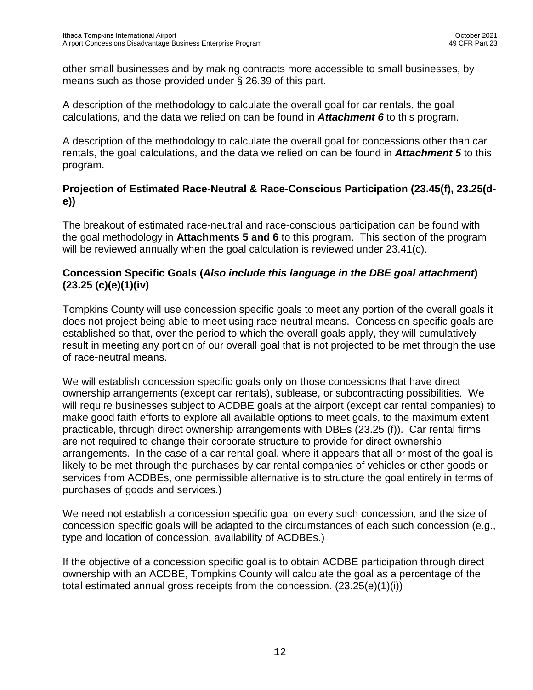other small businesses and by making contracts more accessible to small businesses, by means such as those provided under § 26.39 of this part.

A description of the methodology to calculate the overall goal for car rentals, the goal calculations, and the data we relied on can be found in *Attachment 6* to this program.

A description of the methodology to calculate the overall goal for concessions other than car rentals, the goal calculations, and the data we relied on can be found in *Attachment 5* to this program.

# **Projection of Estimated Race-Neutral & Race-Conscious Participation (23.45(f), 23.25(de))**

The breakout of estimated race-neutral and race-conscious participation can be found with the goal methodology in **Attachments 5 and 6** to this program. This section of the program will be reviewed annually when the goal calculation is reviewed under 23.41(c).

# **Concession Specific Goals (***Also include this language in the DBE goal attachment***) (23.25 (c)(e)(1)(iv)**

Tompkins County will use concession specific goals to meet any portion of the overall goals it does not project being able to meet using race-neutral means. Concession specific goals are established so that, over the period to which the overall goals apply, they will cumulatively result in meeting any portion of our overall goal that is not projected to be met through the use of race-neutral means.

We will establish concession specific goals only on those concessions that have direct ownership arrangements (except car rentals), sublease, or subcontracting possibilities*.* We will require businesses subject to ACDBE goals at the airport (except car rental companies) to make good faith efforts to explore all available options to meet goals, to the maximum extent practicable, through direct ownership arrangements with DBEs (23.25 (f)). Car rental firms are not required to change their corporate structure to provide for direct ownership arrangements. In the case of a car rental goal, where it appears that all or most of the goal is likely to be met through the purchases by car rental companies of vehicles or other goods or services from ACDBEs, one permissible alternative is to structure the goal entirely in terms of purchases of goods and services.)

We need not establish a concession specific goal on every such concession, and the size of concession specific goals will be adapted to the circumstances of each such concession (e.g., type and location of concession, availability of ACDBEs.)

If the objective of a concession specific goal is to obtain ACDBE participation through direct ownership with an ACDBE, Tompkins County will calculate the goal as a percentage of the total estimated annual gross receipts from the concession.  $(23.25(e)(1)(i))$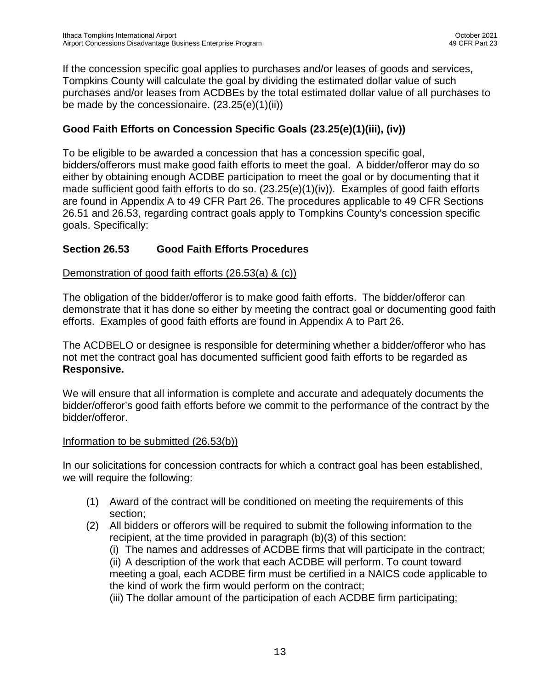If the concession specific goal applies to purchases and/or leases of goods and services, Tompkins County will calculate the goal by dividing the estimated dollar value of such purchases and/or leases from ACDBEs by the total estimated dollar value of all purchases to be made by the concessionaire.  $(23.25(e)(1)(ii))$ 

# **Good Faith Efforts on Concession Specific Goals (23.25(e)(1)(iii), (iv))**

To be eligible to be awarded a concession that has a concession specific goal, bidders/offerors must make good faith efforts to meet the goal. A bidder/offeror may do so either by obtaining enough ACDBE participation to meet the goal or by documenting that it made sufficient good faith efforts to do so.  $(23.25(e)(1)(iv))$ . Examples of good faith efforts are found in Appendix A to 49 CFR Part 26. The procedures applicable to 49 CFR Sections 26.51 and 26.53, regarding contract goals apply to Tompkins County's concession specific goals. Specifically:

## **Section 26.53 Good Faith Efforts Procedures**

#### Demonstration of good faith efforts (26.53(a) & (c))

The obligation of the bidder/offeror is to make good faith efforts. The bidder/offeror can demonstrate that it has done so either by meeting the contract goal or documenting good faith efforts. Examples of good faith efforts are found in Appendix A to Part 26.

The ACDBELO or designee is responsible for determining whether a bidder/offeror who has not met the contract goal has documented sufficient good faith efforts to be regarded as **Responsive.**

We will ensure that all information is complete and accurate and adequately documents the bidder/offeror's good faith efforts before we commit to the performance of the contract by the bidder/offeror.

#### Information to be submitted (26.53(b))

In our solicitations for concession contracts for which a contract goal has been established, we will require the following:

- (1) Award of the contract will be conditioned on meeting the requirements of this section;
- (2) All bidders or offerors will be required to submit the following information to the recipient, at the time provided in paragraph (b)(3) of this section:
	- (i) The names and addresses of ACDBE firms that will participate in the contract;

(ii) A description of the work that each ACDBE will perform. To count toward meeting a goal, each ACDBE firm must be certified in a NAICS code applicable to the kind of work the firm would perform on the contract;

(iii) The dollar amount of the participation of each ACDBE firm participating;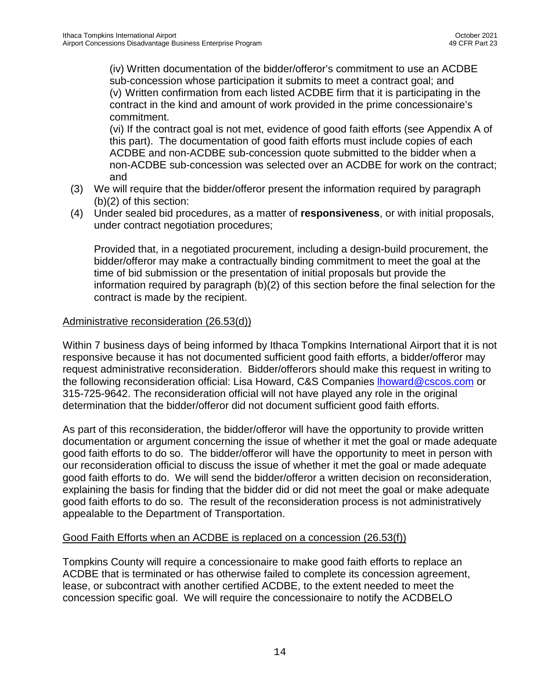(iv) Written documentation of the bidder/offeror's commitment to use an ACDBE sub-concession whose participation it submits to meet a contract goal; and (v) Written confirmation from each listed ACDBE firm that it is participating in the contract in the kind and amount of work provided in the prime concessionaire's commitment.

(vi) If the contract goal is not met, evidence of good faith efforts (see Appendix A of this part). The documentation of good faith efforts must include copies of each ACDBE and non-ACDBE sub-concession quote submitted to the bidder when a non-ACDBE sub-concession was selected over an ACDBE for work on the contract; and

- (3) We will require that the bidder/offeror present the information required by paragraph (b)(2) of this section:
- (4) Under sealed bid procedures, as a matter of **responsiveness**, or with initial proposals, under contract negotiation procedures;

Provided that, in a negotiated procurement, including a design-build procurement, the bidder/offeror may make a contractually binding commitment to meet the goal at the time of bid submission or the presentation of initial proposals but provide the information required by paragraph (b)(2) of this section before the final selection for the contract is made by the recipient.

#### Administrative reconsideration (26.53(d))

Within 7 business days of being informed by Ithaca Tompkins International Airport that it is not responsive because it has not documented sufficient good faith efforts, a bidder/offeror may request administrative reconsideration. Bidder/offerors should make this request in writing to the following reconsideration official: Lisa Howard, C&S Companies [lhoward@cscos.com](mailto:lhoward@cscos.com) or 315-725-9642. The reconsideration official will not have played any role in the original determination that the bidder/offeror did not document sufficient good faith efforts.

As part of this reconsideration, the bidder/offeror will have the opportunity to provide written documentation or argument concerning the issue of whether it met the goal or made adequate good faith efforts to do so. The bidder/offeror will have the opportunity to meet in person with our reconsideration official to discuss the issue of whether it met the goal or made adequate good faith efforts to do. We will send the bidder/offeror a written decision on reconsideration, explaining the basis for finding that the bidder did or did not meet the goal or make adequate good faith efforts to do so. The result of the reconsideration process is not administratively appealable to the Department of Transportation.

## Good Faith Efforts when an ACDBE is replaced on a concession (26.53(f))

Tompkins County will require a concessionaire to make good faith efforts to replace an ACDBE that is terminated or has otherwise failed to complete its concession agreement, lease, or subcontract with another certified ACDBE, to the extent needed to meet the concession specific goal. We will require the concessionaire to notify the ACDBELO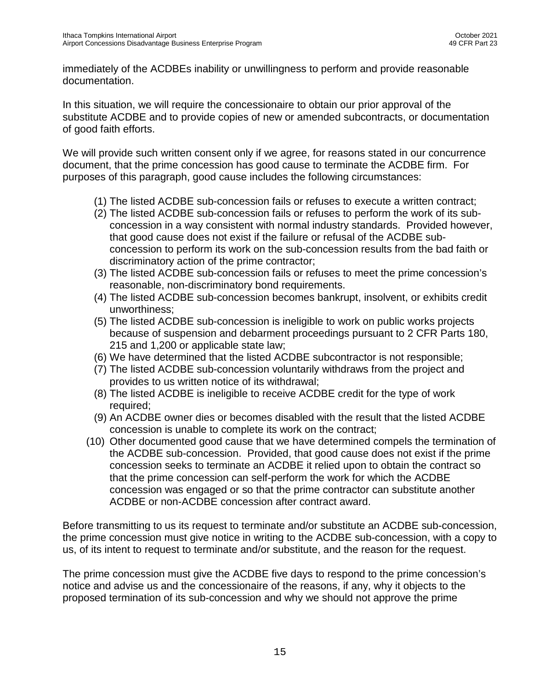immediately of the ACDBEs inability or unwillingness to perform and provide reasonable documentation.

In this situation, we will require the concessionaire to obtain our prior approval of the substitute ACDBE and to provide copies of new or amended subcontracts, or documentation of good faith efforts.

We will provide such written consent only if we agree, for reasons stated in our concurrence document, that the prime concession has good cause to terminate the ACDBE firm. For purposes of this paragraph, good cause includes the following circumstances:

- (1) The listed ACDBE sub-concession fails or refuses to execute a written contract;
- (2) The listed ACDBE sub-concession fails or refuses to perform the work of its subconcession in a way consistent with normal industry standards. Provided however, that good cause does not exist if the failure or refusal of the ACDBE subconcession to perform its work on the sub-concession results from the bad faith or discriminatory action of the prime contractor;
- (3) The listed ACDBE sub-concession fails or refuses to meet the prime concession's reasonable, non-discriminatory bond requirements.
- (4) The listed ACDBE sub-concession becomes bankrupt, insolvent, or exhibits credit unworthiness;
- (5) The listed ACDBE sub-concession is ineligible to work on public works projects because of suspension and debarment proceedings pursuant to 2 CFR Parts 180, 215 and 1,200 or applicable state law;
- (6) We have determined that the listed ACDBE subcontractor is not responsible;
- (7) The listed ACDBE sub-concession voluntarily withdraws from the project and provides to us written notice of its withdrawal;
- (8) The listed ACDBE is ineligible to receive ACDBE credit for the type of work required;
- (9) An ACDBE owner dies or becomes disabled with the result that the listed ACDBE concession is unable to complete its work on the contract;
- (10) Other documented good cause that we have determined compels the termination of the ACDBE sub-concession. Provided, that good cause does not exist if the prime concession seeks to terminate an ACDBE it relied upon to obtain the contract so that the prime concession can self-perform the work for which the ACDBE concession was engaged or so that the prime contractor can substitute another ACDBE or non-ACDBE concession after contract award.

Before transmitting to us its request to terminate and/or substitute an ACDBE sub-concession, the prime concession must give notice in writing to the ACDBE sub-concession, with a copy to us, of its intent to request to terminate and/or substitute, and the reason for the request.

The prime concession must give the ACDBE five days to respond to the prime concession's notice and advise us and the concessionaire of the reasons, if any, why it objects to the proposed termination of its sub-concession and why we should not approve the prime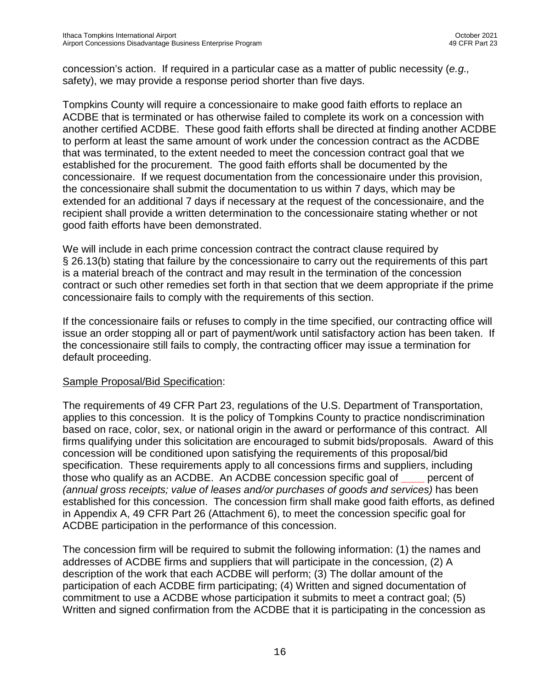concession's action. If required in a particular case as a matter of public necessity (*e.g.,*  safety), we may provide a response period shorter than five days.

Tompkins County will require a concessionaire to make good faith efforts to replace an ACDBE that is terminated or has otherwise failed to complete its work on a concession with another certified ACDBE. These good faith efforts shall be directed at finding another ACDBE to perform at least the same amount of work under the concession contract as the ACDBE that was terminated, to the extent needed to meet the concession contract goal that we established for the procurement. The good faith efforts shall be documented by the concessionaire. If we request documentation from the concessionaire under this provision, the concessionaire shall submit the documentation to us within 7 days, which may be extended for an additional 7 days if necessary at the request of the concessionaire, and the recipient shall provide a written determination to the concessionaire stating whether or not good faith efforts have been demonstrated.

We will include in each prime concession contract the contract clause required by § 26.13(b) stating that failure by the concessionaire to carry out the requirements of this part is a material breach of the contract and may result in the termination of the concession contract or such other remedies set forth in that section that we deem appropriate if the prime concessionaire fails to comply with the requirements of this section.

If the concessionaire fails or refuses to comply in the time specified, our contracting office will issue an order stopping all or part of payment/work until satisfactory action has been taken. If the concessionaire still fails to comply, the contracting officer may issue a termination for default proceeding.

#### Sample Proposal/Bid Specification:

The requirements of 49 CFR Part 23, regulations of the U.S. Department of Transportation, applies to this concession. It is the policy of Tompkins County to practice nondiscrimination based on race, color, sex, or national origin in the award or performance of this contract. All firms qualifying under this solicitation are encouraged to submit bids/proposals. Award of this concession will be conditioned upon satisfying the requirements of this proposal/bid specification. These requirements apply to all concessions firms and suppliers, including those who qualify as an ACDBE. An ACDBE concession specific goal of **\_\_\_\_** percent of *(annual gross receipts; value of leases and/or purchases of goods and services)* has been established for this concession. The concession firm shall make good faith efforts, as defined in Appendix A, 49 CFR Part 26 (Attachment 6), to meet the concession specific goal for ACDBE participation in the performance of this concession.

The concession firm will be required to submit the following information: (1) the names and addresses of ACDBE firms and suppliers that will participate in the concession, (2) A description of the work that each ACDBE will perform; (3) The dollar amount of the participation of each ACDBE firm participating; (4) Written and signed documentation of commitment to use a ACDBE whose participation it submits to meet a contract goal; (5) Written and signed confirmation from the ACDBE that it is participating in the concession as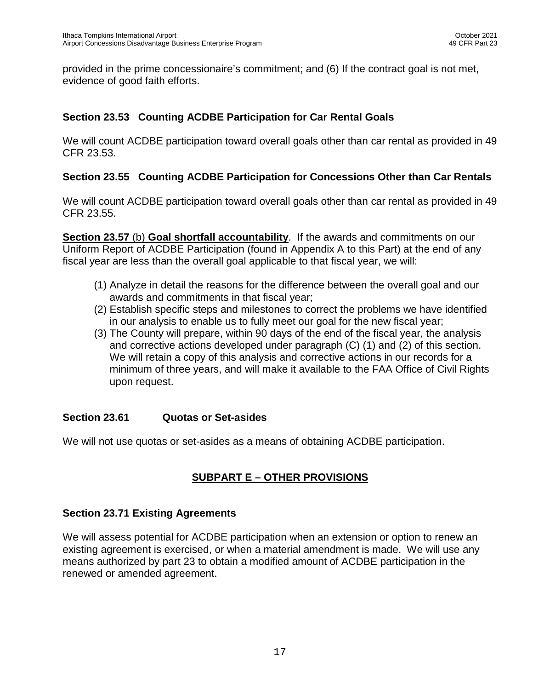provided in the prime concessionaire's commitment; and (6) If the contract goal is not met, evidence of good faith efforts.

# **Section 23.53 Counting ACDBE Participation for Car Rental Goals**

We will count ACDBE participation toward overall goals other than car rental as provided in 49 CFR 23.53.

## **Section 23.55 Counting ACDBE Participation for Concessions Other than Car Rentals**

We will count ACDBE participation toward overall goals other than car rental as provided in 49 CFR 23.55.

**Section 23.57** (b) **Goal shortfall accountability**. If the awards and commitments on our Uniform Report of ACDBE Participation (found in Appendix A to this Part) at the end of any fiscal year are less than the overall goal applicable to that fiscal year, we will:

- (1) Analyze in detail the reasons for the difference between the overall goal and our awards and commitments in that fiscal year;
- (2) Establish specific steps and milestones to correct the problems we have identified in our analysis to enable us to fully meet our goal for the new fiscal year;
- (3) The County will prepare, within 90 days of the end of the fiscal year, the analysis and corrective actions developed under paragraph (C) (1) and (2) of this section. We will retain a copy of this analysis and corrective actions in our records for a minimum of three years, and will make it available to the FAA Office of Civil Rights upon request.

## **Section 23.61 Quotas or Set-asides**

We will not use quotas or set-asides as a means of obtaining ACDBE participation.

# **SUBPART E – OTHER PROVISIONS**

## **Section 23.71 Existing Agreements**

We will assess potential for ACDBE participation when an extension or option to renew an existing agreement is exercised, or when a material amendment is made. We will use any means authorized by part 23 to obtain a modified amount of ACDBE participation in the renewed or amended agreement.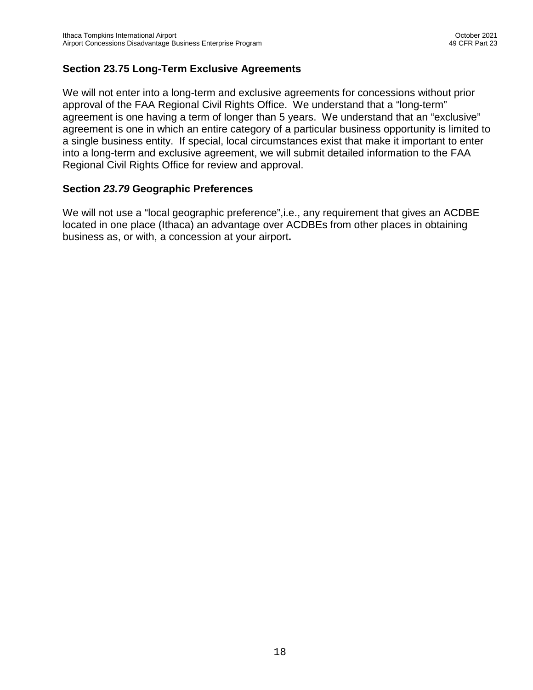## **Section 23.75 Long-Term Exclusive Agreements**

We will not enter into a long-term and exclusive agreements for concessions without prior approval of the FAA Regional Civil Rights Office. We understand that a "long-term" agreement is one having a term of longer than 5 years. We understand that an "exclusive" agreement is one in which an entire category of a particular business opportunity is limited to a single business entity. If special, local circumstances exist that make it important to enter into a long-term and exclusive agreement, we will submit detailed information to the FAA Regional Civil Rights Office for review and approval.

#### **Section** *23.79* **Geographic Preferences**

We will not use a "local geographic preference", i.e., any requirement that gives an ACDBE located in one place (Ithaca) an advantage over ACDBEs from other places in obtaining business as, or with, a concession at your airport**.**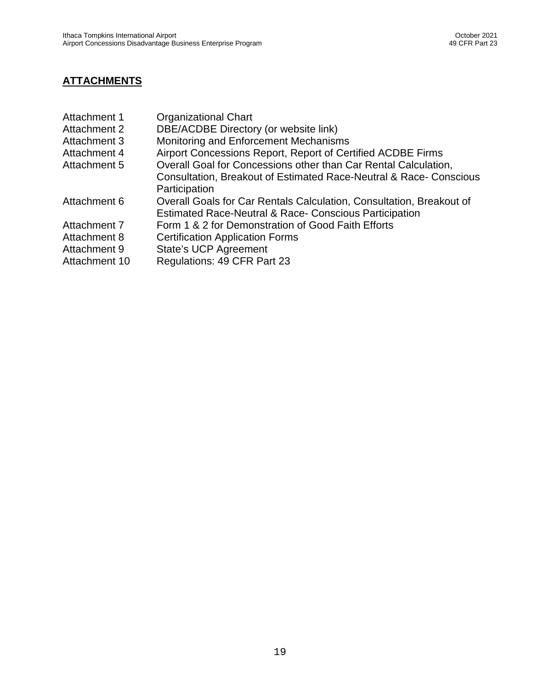# **ATTACHMENTS**

| Attachment 1  | <b>Organizational Chart</b>                                          |
|---------------|----------------------------------------------------------------------|
| Attachment 2  | DBE/ACDBE Directory (or website link)                                |
| Attachment 3  | Monitoring and Enforcement Mechanisms                                |
| Attachment 4  | Airport Concessions Report, Report of Certified ACDBE Firms          |
| Attachment 5  | Overall Goal for Concessions other than Car Rental Calculation,      |
|               | Consultation, Breakout of Estimated Race-Neutral & Race-Conscious    |
|               | Participation                                                        |
| Attachment 6  | Overall Goals for Car Rentals Calculation, Consultation, Breakout of |
|               | <b>Estimated Race-Neutral &amp; Race- Conscious Participation</b>    |
| Attachment 7  | Form 1 & 2 for Demonstration of Good Faith Efforts                   |
| Attachment 8  | <b>Certification Application Forms</b>                               |
| Attachment 9  | <b>State's UCP Agreement</b>                                         |
| Attachment 10 | Regulations: 49 CFR Part 23                                          |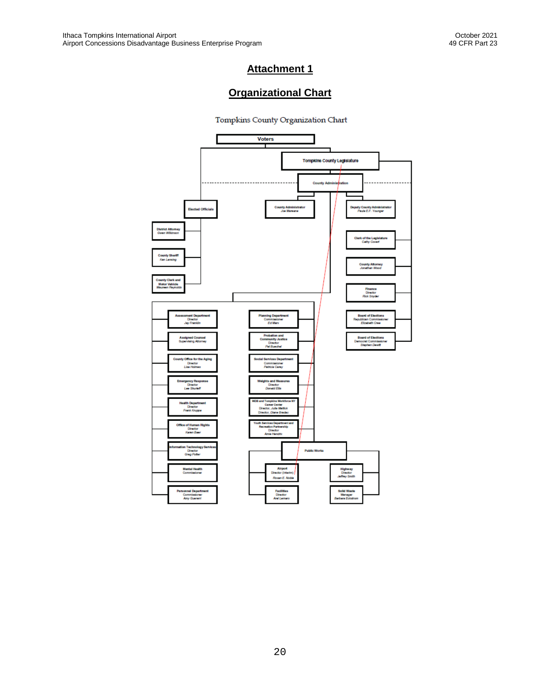# **Organizational Chart**

Tompkins County Organization Chart

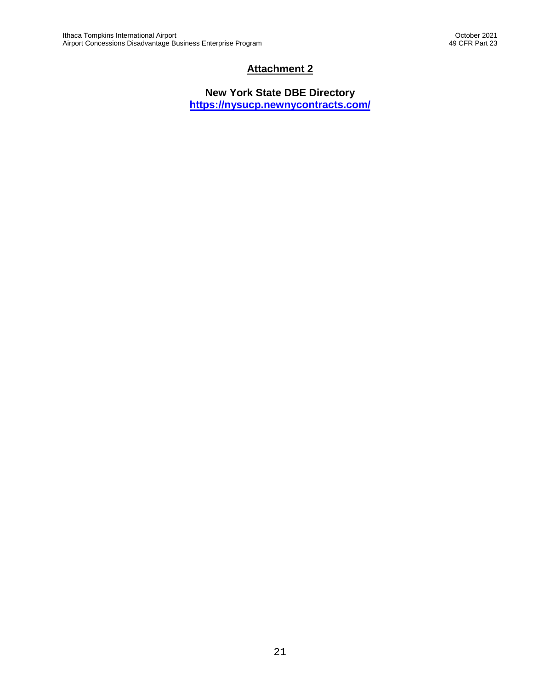**New York State DBE Directory <https://nysucp.newnycontracts.com/>**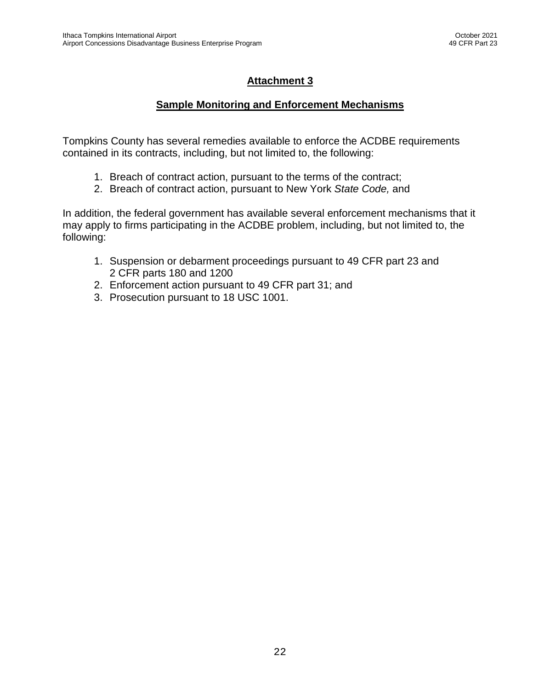#### **Sample Monitoring and Enforcement Mechanisms**

Tompkins County has several remedies available to enforce the ACDBE requirements contained in its contracts, including, but not limited to, the following:

- 1. Breach of contract action, pursuant to the terms of the contract;
- 2. Breach of contract action, pursuant to New York *State Code,* and

In addition, the federal government has available several enforcement mechanisms that it may apply to firms participating in the ACDBE problem, including, but not limited to, the following:

- 1. Suspension or debarment proceedings pursuant to 49 CFR part 23 and 2 CFR parts 180 and 1200
- 2. Enforcement action pursuant to 49 CFR part 31; and
- 3. Prosecution pursuant to 18 USC 1001.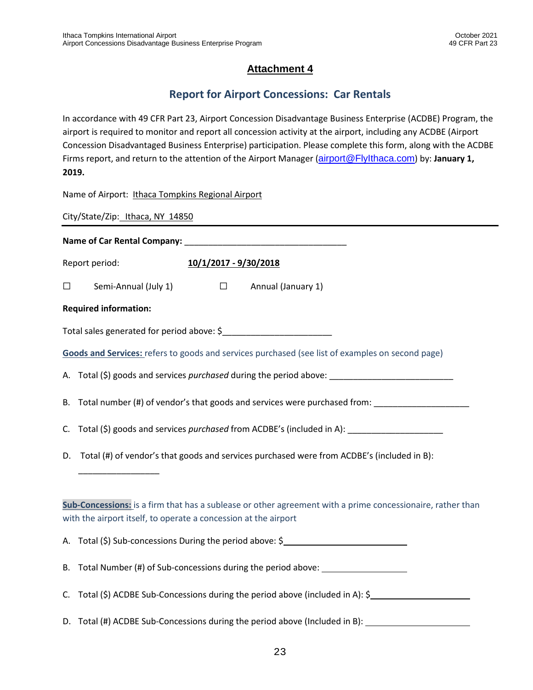# **Report for Airport Concessions: Car Rentals**

In accordance with 49 CFR Part 23, Airport Concession Disadvantage Business Enterprise (ACDBE) Program, the airport is required to monitor and report all concession activity at the airport, including any ACDBE (Airport Concession Disadvantaged Business Enterprise) participation. Please complete this form, along with the ACDBE Firms report, and return to the attention of the Airport Manager (airport@Flylthaca.com) by: January 1, **2019.**

Name of Airport: Ithaca Tompkins Regional Airport

City/State/Zip: Ithaca, NY 14850

**Name of Car Rental Company: We are also constant of Car Rental Company:** Report period: **10/1/2017 - 9/30/2018**

☐ Semi-Annual (July 1) ☐ Annual (January 1)

#### **Required information:**

\_\_\_\_\_\_\_\_\_\_\_\_\_\_\_\_\_

| Total sales generated for period above: \$ |
|--------------------------------------------|
|--------------------------------------------|

**Goods and Services:** refers to goods and services purchased (see list of examples on second page)

A. Total (\$) goods and services *purchased* during the period above: \_\_\_\_\_\_\_\_\_\_\_\_\_\_\_\_\_\_\_\_\_\_\_\_\_\_

- B. Total number (#) of vendor's that goods and services were purchased from:
- C. Total (\$) goods and services *purchased* from ACDBE's (included in A):
- D. Total (#) of vendor's that goods and services purchased were from ACDBE's (included in B):

| Sub-Concessions: is a firm that has a sublease or other agreement with a prime concessionaire, rather than |
|------------------------------------------------------------------------------------------------------------|
| with the airport itself, to operate a concession at the airport                                            |

A. Total (\$) Sub-concessions During the period above: \$

B. Total Number (#) of Sub-concessions during the period above:

- C. Total (\$) ACDBE Sub-Concessions during the period above (included in A): \$
- D. Total (#) ACDBE Sub-Concessions during the period above (Included in B):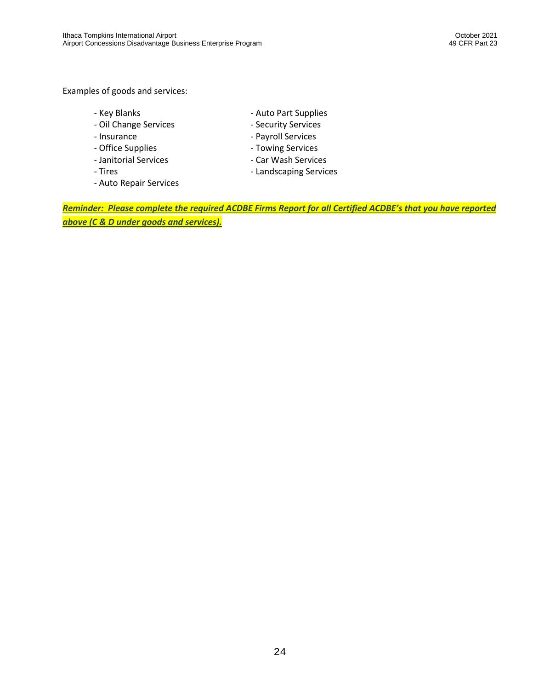#### Examples of goods and services:

- 
- Oil Change Services Security Services
- 
- Office Supplies **Access 12 Contact 12 Contact 12 Contact 12 Contact 12 Contact 2 Contact 2 Contact 2 Contact 2 Contact 2 Contact 2 Contact 2 Contact 2 Contact 2 Contact 2 Contact 2 Contact 2 Contact 2 Contact 2 Contact 2**
- Janitorial Services Car Wash Services
- 
- Auto Repair Services
- Key Blanks **Auto Part Supplies** 
	-
- Insurance **Acceleration Contract Contract Contract Contract Contract Contract Contract Contract Contract Contract Contract Contract Contract Contract Contract Contract Contract Contract Contract Contract Contract Contrac** 
	-
	-
- Tires  **Landscaping Services**

*Reminder: Please complete the required ACDBE Firms Report for all Certified ACDBE's that you have reported above (C & D under goods and services).*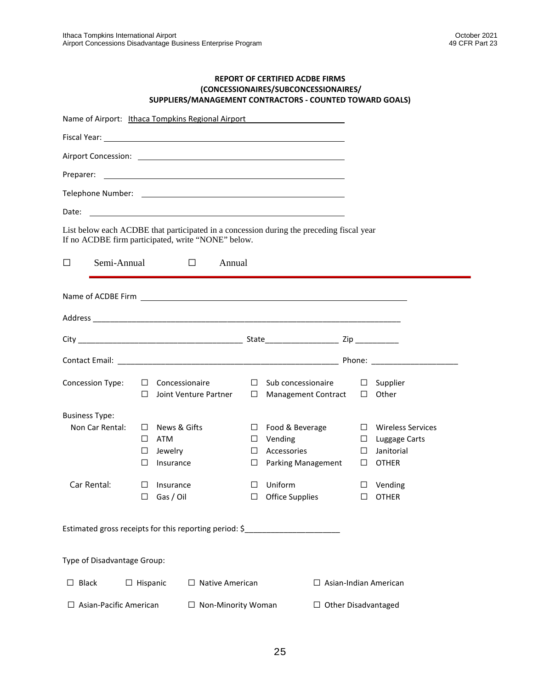#### **REPORT OF CERTIFIED ACDBE FIRMS (CONCESSIONAIRES/SUBCONCESSIONAIRES/ SUPPLIERS/MANAGEMENT CONTRACTORS - COUNTED TOWARD GOALS)**

|                               |                 | Name of Airport: Ithaca Tompkins Regional Airport                                 |                   |                                                                                          |                       |                                                                  |
|-------------------------------|-----------------|-----------------------------------------------------------------------------------|-------------------|------------------------------------------------------------------------------------------|-----------------------|------------------------------------------------------------------|
|                               |                 |                                                                                   |                   |                                                                                          |                       |                                                                  |
|                               |                 |                                                                                   |                   |                                                                                          |                       |                                                                  |
|                               |                 |                                                                                   |                   |                                                                                          |                       |                                                                  |
|                               |                 |                                                                                   |                   |                                                                                          |                       |                                                                  |
| Date:                         |                 | <u> 1989 - Johann Stoff, amerikansk politiker (d. 1989)</u>                       |                   |                                                                                          |                       |                                                                  |
|                               |                 | If no ACDBE firm participated, write "NONE" below.                                |                   | List below each ACDBE that participated in a concession during the preceding fiscal year |                       |                                                                  |
| П<br>Semi-Annual              |                 | the control of the control of the<br>Annual                                       |                   |                                                                                          |                       |                                                                  |
|                               |                 |                                                                                   |                   |                                                                                          |                       |                                                                  |
|                               |                 |                                                                                   |                   |                                                                                          |                       |                                                                  |
|                               |                 |                                                                                   |                   |                                                                                          |                       |                                                                  |
|                               |                 |                                                                                   |                   |                                                                                          |                       |                                                                  |
| Concession Type:              | $\Box$          | $\Box$ Concessionaire<br>Joint Venture Partner                                    |                   | $\Box$ Sub concessionaire<br>$\Box$ Management Contract                                  | ⊔                     | $\square$ Supplier<br>Other                                      |
| <b>Business Type:</b>         |                 |                                                                                   |                   |                                                                                          |                       |                                                                  |
| Non Car Rental:               | $\Box$<br>П     | $\Box$ News & Gifts<br>$\Box$ ATM<br>Jewelry<br>Insurance                         | $\Box$<br>$\perp$ | $\Box$ Food & Beverage<br>Vending<br>Accessories<br>$\Box$ Parking Management            | ⊔<br>⊔<br>$\Box$<br>⊔ | Wireless Services<br>Luggage Carts<br>Janitorial<br><b>OTHER</b> |
| Car Rental:                   | ⊔               | $\Box$ Insurance<br>Gas / Oil                                                     | П<br>⊔            | Uniform<br>Office Supplies                                                               | ⊔                     | $\Box$ Vending<br><b>OTHER</b>                                   |
|                               |                 | Estimated gross receipts for this reporting period: \$___________________________ |                   |                                                                                          |                       |                                                                  |
| Type of Disadvantage Group:   |                 |                                                                                   |                   |                                                                                          |                       |                                                                  |
| $\Box$ Black                  | $\Box$ Hispanic | $\Box$ Native American                                                            |                   |                                                                                          |                       | Asian-Indian American                                            |
| $\Box$ Asian-Pacific American |                 | □ Non-Minority Woman                                                              |                   | $\Box$ Other Disadvantaged                                                               |                       |                                                                  |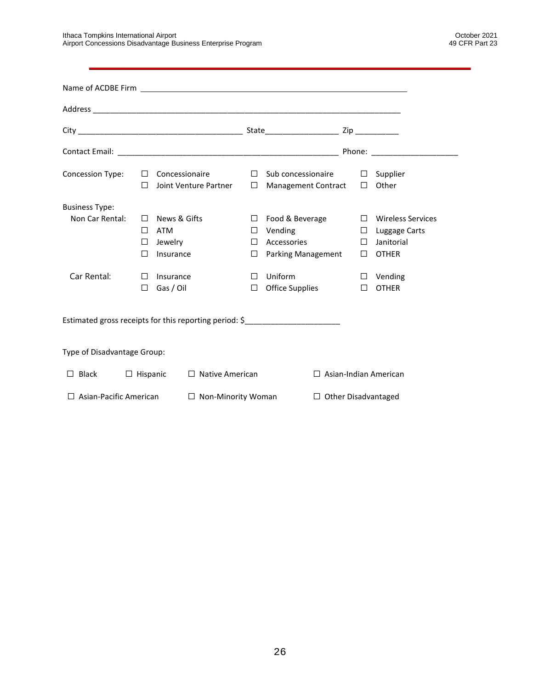| Concession Type:              | $\mathsf{L}$                     | $\Box$ Concessionaire                       | Joint Venture Partner     | $\Box$<br>$\Box$                | Sub concessionaire $\Box$ Supplier<br><b>Management Contract</b>                  | $\Box$                               | Other                                                                   |
|-------------------------------|----------------------------------|---------------------------------------------|---------------------------|---------------------------------|-----------------------------------------------------------------------------------|--------------------------------------|-------------------------------------------------------------------------|
| <b>Business Type:</b>         |                                  |                                             |                           |                                 |                                                                                   |                                      |                                                                         |
| Non Car Rental:               | $\perp$<br>$\Box$<br>$\Box$<br>П | News & Gifts<br>ATM<br>Jewelry<br>Insurance |                           | $\Box$<br>⊔<br>$\Box$<br>$\Box$ | Food & Beverage<br>Vending<br>Accessories<br>Parking Management                   | $\Box$<br>$\Box$<br>$\Box$<br>$\Box$ | <b>Wireless Services</b><br>Luggage Carts<br>Janitorial<br><b>OTHER</b> |
| Car Rental:                   | $\perp$<br>□                     | Insurance<br>Gas / Oil                      |                           | П<br>□                          | Uniform<br><b>Office Supplies</b>                                                 | $\Box$<br>□                          | Vending<br><b>OTHER</b>                                                 |
|                               |                                  |                                             |                           |                                 | Estimated gross receipts for this reporting period: \$___________________________ |                                      |                                                                         |
| Type of Disadvantage Group:   |                                  |                                             |                           |                                 |                                                                                   |                                      |                                                                         |
| Black<br>□                    | $\Box$ Hispanic                  |                                             | $\Box$ Native American    |                                 |                                                                                   |                                      | $\Box$ Asian-Indian American                                            |
| $\Box$ Asian-Pacific American |                                  |                                             | $\Box$ Non-Minority Woman |                                 |                                                                                   | $\Box$ Other Disadvantaged           |                                                                         |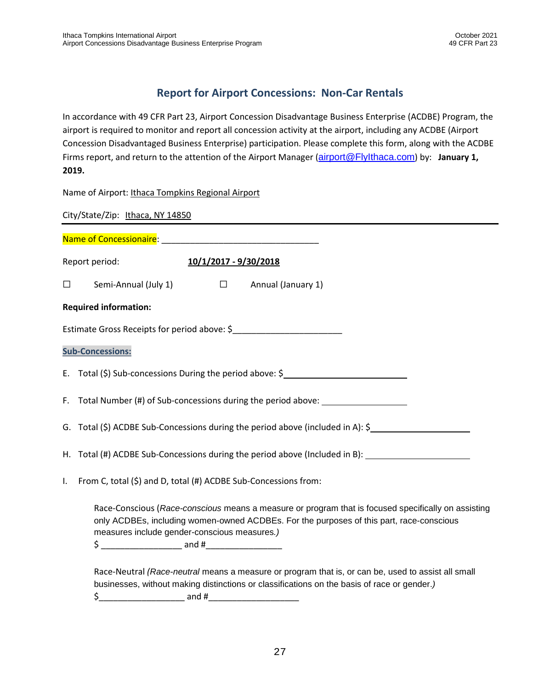# **Report for Airport Concessions: Non-Car Rentals**

In accordance with 49 CFR Part 23, Airport Concession Disadvantage Business Enterprise (ACDBE) Program, the airport is required to monitor and report all concession activity at the airport, including any ACDBE (Airport Concession Disadvantaged Business Enterprise) participation. Please complete this form, along with the ACDBE Firms report, and return to the attention of the Airport Manager ([airport@FlyIthaca.com](mailto:airport@FlyIthaca.com)) by: **January 1, 2019.**

Name of Airport: Ithaca Tompkins Regional Airport

City/State/Zip: Ithaca, NY 14850 Name of Concessionaire: \_\_\_\_\_\_\_\_\_\_\_\_\_\_\_\_\_\_\_\_\_\_\_\_\_\_\_\_\_\_\_\_\_ Report period: **10/1/2017 - 9/30/2018** ☐ Semi-Annual (July 1) ☐ Annual (January 1) **Required information:** Estimate Gross Receipts for period above: \$\_\_\_\_\_\_\_\_\_\_\_\_\_\_\_\_\_\_\_\_\_\_\_ **Sub-Concessions:** E. Total (\$) Sub-concessions During the period above: \$ F. Total Number (#) of Sub-concessions during the period above: \_\_\_\_\_\_\_\_\_\_\_\_\_\_\_\_ G. Total (\$) ACDBE Sub-Concessions during the period above (included in A): \$ H. Total (#) ACDBE Sub-Concessions during the period above (Included in B): I. From C, total (\$) and D, total (#) ACDBE Sub-Concessions from: Race-Conscious (*Race-conscious* means a measure or program that is focused specifically on assisting only ACDBEs, including women-owned ACDBEs. For the purposes of this part, race-conscious measures include gender-conscious measures*.)*

\$ \_\_\_\_\_\_\_\_\_\_\_\_\_\_\_\_\_ and #\_\_\_\_\_\_\_\_\_\_\_\_\_\_\_\_

Race-Neutral *(Race-neutral* means a measure or program that is, or can be, used to assist all small businesses, without making distinctions or classifications on the basis of race or gender.*)* \$\_\_\_\_\_\_\_\_\_\_\_\_\_\_\_\_\_\_ and #\_\_\_\_\_\_\_\_\_\_\_\_\_\_\_\_\_\_\_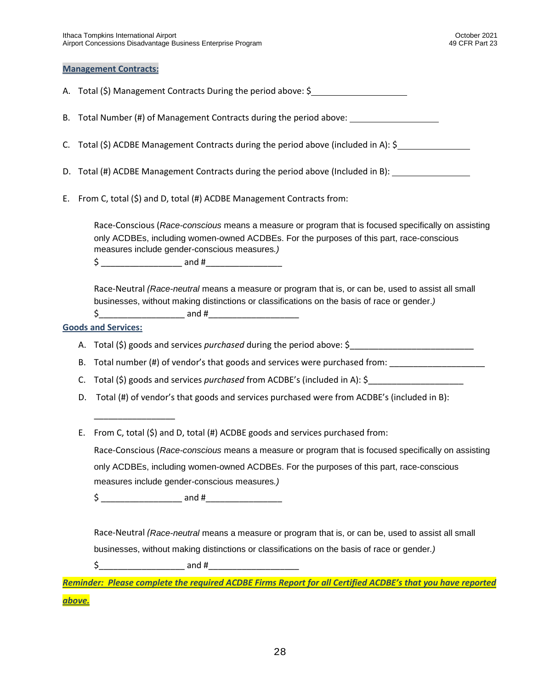#### **Management Contracts:**

A. Total (\$) Management Contracts During the period above: \$

B. Total Number (#) of Management Contracts during the period above:

- C. Total (\$) ACDBE Management Contracts during the period above (included in A): \$
- D. Total (#) ACDBE Management Contracts during the period above (Included in B):
- E. From C, total (\$) and D, total (#) ACDBE Management Contracts from:

Race-Conscious (*Race-conscious* means a measure or program that is focused specifically on assisting only ACDBEs, including women-owned ACDBEs. For the purposes of this part, race-conscious measures include gender-conscious measures*.)*

\$ \_\_\_\_\_\_\_\_\_\_\_\_\_\_\_\_\_ and #\_\_\_\_\_\_\_\_\_\_\_\_\_\_\_\_

Race-Neutral *(Race-neutral* means a measure or program that is, or can be, used to assist all small businesses, without making distinctions or classifications on the basis of race or gender.*)*

 $\zeta$  and #

#### **Goods and Services:**

\_\_\_\_\_\_\_\_\_\_\_\_\_\_\_\_\_

A. Total (\$) goods and services *purchased* during the period above: \$

B. Total number (#) of vendor's that goods and services were purchased from:

- C. Total (\$) goods and services *purchased* from ACDBE's (included in A): \$
- D. Total (#) of vendor's that goods and services purchased were from ACDBE's (included in B):
- E. From C, total (\$) and D, total (#) ACDBE goods and services purchased from:

Race-Conscious (*Race-conscious* means a measure or program that is focused specifically on assisting only ACDBEs, including women-owned ACDBEs. For the purposes of this part, race-conscious measures include gender-conscious measures*.)*

\$ \_\_\_\_\_\_\_\_\_\_\_\_\_\_\_\_\_ and #\_\_\_\_\_\_\_\_\_\_\_\_\_\_\_\_

Race-Neutral *(Race-neutral* means a measure or program that is, or can be, used to assist all small businesses, without making distinctions or classifications on the basis of race or gender*.)*

 $\uparrow$  and #

*Reminder: Please complete the required ACDBE Firms Report for all Certified ACDBE's that you have reported above.*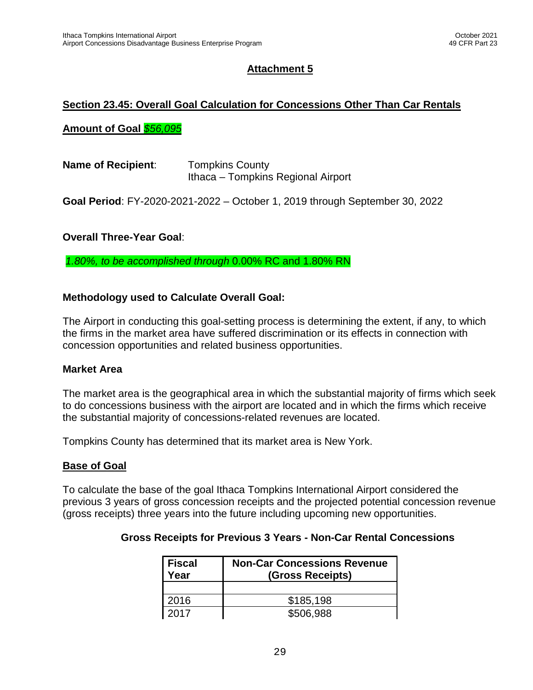#### **Section 23.45: Overall Goal Calculation for Concessions Other Than Car Rentals**

#### **Amount of Goal** *\$56,095*

| <b>Name of Recipient:</b> | <b>Tompkins County</b>             |
|---------------------------|------------------------------------|
|                           | Ithaca – Tompkins Regional Airport |

**Goal Period**: FY-2020-2021-2022 – October 1, 2019 through September 30, 2022

#### **Overall Three-Year Goal**:

*1.80%, to be accomplished through* 0.00% RC and 1.80% RN

#### **Methodology used to Calculate Overall Goal:**

The Airport in conducting this goal-setting process is determining the extent, if any, to which the firms in the market area have suffered discrimination or its effects in connection with concession opportunities and related business opportunities.

#### **Market Area**

The market area is the geographical area in which the substantial majority of firms which seek to do concessions business with the airport are located and in which the firms which receive the substantial majority of concessions-related revenues are located.

Tompkins County has determined that its market area is New York.

#### **Base of Goal**

To calculate the base of the goal Ithaca Tompkins International Airport considered the previous 3 years of gross concession receipts and the projected potential concession revenue (gross receipts) three years into the future including upcoming new opportunities.

#### **Gross Receipts for Previous 3 Years - Non-Car Rental Concessions**

| Fiscal<br>Year | <b>Non-Car Concessions Revenue</b><br>(Gross Receipts) |
|----------------|--------------------------------------------------------|
|                |                                                        |
| 2016           | \$185,198                                              |
| 2017           | \$506,988                                              |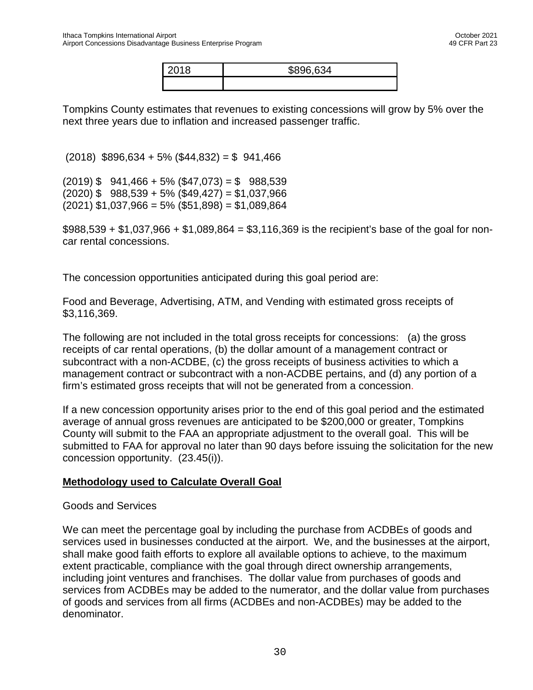| 2018 | \$896,634 |
|------|-----------|
|      |           |

Tompkins County estimates that revenues to existing concessions will grow by 5% over the next three years due to inflation and increased passenger traffic.

 $(2018)$  \$896,634 + 5% (\$44,832) = \$ 941,466

 $(2019)$  \$ 941,466 + 5% (\$47,073) = \$ 988,539  $(2020)$  \$ 988,539 + 5% (\$49,427) = \$1,037,966  $(2021)$  \$1,037,966 = 5% (\$51,898) = \$1,089,864

 $$988,539 + $1,037,966 + $1,089,864 = $3,116,369$  is the recipient's base of the goal for noncar rental concessions.

The concession opportunities anticipated during this goal period are:

Food and Beverage, Advertising, ATM, and Vending with estimated gross receipts of \$3,116,369.

The following are not included in the total gross receipts for concessions: (a) the gross receipts of car rental operations, (b) the dollar amount of a management contract or subcontract with a non-ACDBE, (c) the gross receipts of business activities to which a management contract or subcontract with a non-ACDBE pertains, and (d) any portion of a firm's estimated gross receipts that will not be generated from a concession.

If a new concession opportunity arises prior to the end of this goal period and the estimated average of annual gross revenues are anticipated to be \$200,000 or greater, Tompkins County will submit to the FAA an appropriate adjustment to the overall goal. This will be submitted to FAA for approval no later than 90 days before issuing the solicitation for the new concession opportunity. (23.45(i)).

#### **Methodology used to Calculate Overall Goal**

#### Goods and Services

We can meet the percentage goal by including the purchase from ACDBEs of goods and services used in businesses conducted at the airport. We, and the businesses at the airport, shall make good faith efforts to explore all available options to achieve, to the maximum extent practicable, compliance with the goal through direct ownership arrangements, including joint ventures and franchises. The dollar value from purchases of goods and services from ACDBEs may be added to the numerator, and the dollar value from purchases of goods and services from all firms (ACDBEs and non-ACDBEs) may be added to the denominator.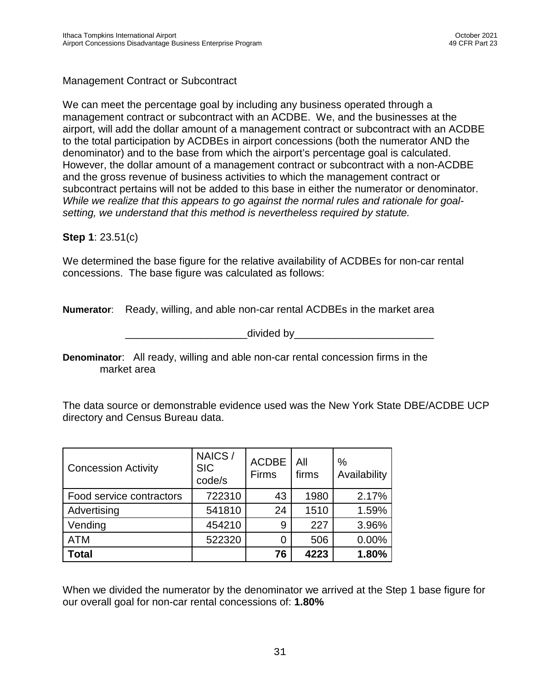## Management Contract or Subcontract

We can meet the percentage goal by including any business operated through a management contract or subcontract with an ACDBE. We, and the businesses at the airport, will add the dollar amount of a management contract or subcontract with an ACDBE to the total participation by ACDBEs in airport concessions (both the numerator AND the denominator) and to the base from which the airport's percentage goal is calculated. However, the dollar amount of a management contract or subcontract with a non-ACDBE and the gross revenue of business activities to which the management contract or subcontract pertains will not be added to this base in either the numerator or denominator. *While we realize that this appears to go against the normal rules and rationale for goalsetting, we understand that this method is nevertheless required by statute.*

#### **Step 1**: 23.51(c)

We determined the base figure for the relative availability of ACDBEs for non-car rental concessions. The base figure was calculated as follows:

**Numerator**: Ready, willing, and able non-car rental ACDBEs in the market area

\_divided by\_\_\_\_\_\_\_\_\_\_\_\_\_\_\_\_\_\_\_\_\_\_\_\_\_\_\_\_\_\_\_\_\_\_

**Denominator**: All ready, willing and able non-car rental concession firms in the market area

The data source or demonstrable evidence used was the New York State DBE/ACDBE UCP directory and Census Bureau data.

| <b>Concession Activity</b> | NAICS/<br><b>SIC</b><br>code/s | <b>ACDBE</b><br>Firms | All<br>firms | $\%$<br>Availability |
|----------------------------|--------------------------------|-----------------------|--------------|----------------------|
| Food service contractors   | 722310                         | 43                    | 1980         | 2.17%                |
| Advertising                | 541810                         | 24                    | 1510         | 1.59%                |
| Vending                    | 454210                         | 9                     | 227          | 3.96%                |
| <b>ATM</b>                 | 522320                         | 0                     | 506          | 0.00%                |
| <b>Total</b>               |                                | 76                    | 4223         | 1.80%                |

When we divided the numerator by the denominator we arrived at the Step 1 base figure for our overall goal for non-car rental concessions of: **1.80%**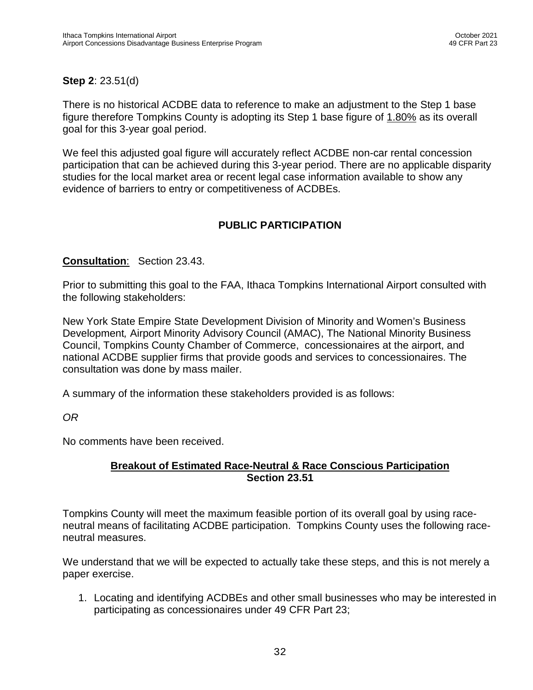# **Step 2**: 23.51(d)

There is no historical ACDBE data to reference to make an adjustment to the Step 1 base figure therefore Tompkins County is adopting its Step 1 base figure of 1.80% as its overall goal for this 3-year goal period.

We feel this adjusted goal figure will accurately reflect ACDBE non-car rental concession participation that can be achieved during this 3-year period. There are no applicable disparity studies for the local market area or recent legal case information available to show any evidence of barriers to entry or competitiveness of ACDBEs.

# **PUBLIC PARTICIPATION**

#### **Consultation**: Section 23.43.

Prior to submitting this goal to the FAA, Ithaca Tompkins International Airport consulted with the following stakeholders:

New York State Empire State Development Division of Minority and Women's Business Development*,* Airport Minority Advisory Council (AMAC), The National Minority Business Council, Tompkins County Chamber of Commerce, concessionaires at the airport, and national ACDBE supplier firms that provide goods and services to concessionaires. The consultation was done by mass mailer.

A summary of the information these stakeholders provided is as follows:

*OR* 

No comments have been received.

#### **Breakout of Estimated Race-Neutral & Race Conscious Participation Section 23.51**

Tompkins County will meet the maximum feasible portion of its overall goal by using raceneutral means of facilitating ACDBE participation. Tompkins County uses the following raceneutral measures.

We understand that we will be expected to actually take these steps, and this is not merely a paper exercise.

1. Locating and identifying ACDBEs and other small businesses who may be interested in participating as concessionaires under 49 CFR Part 23;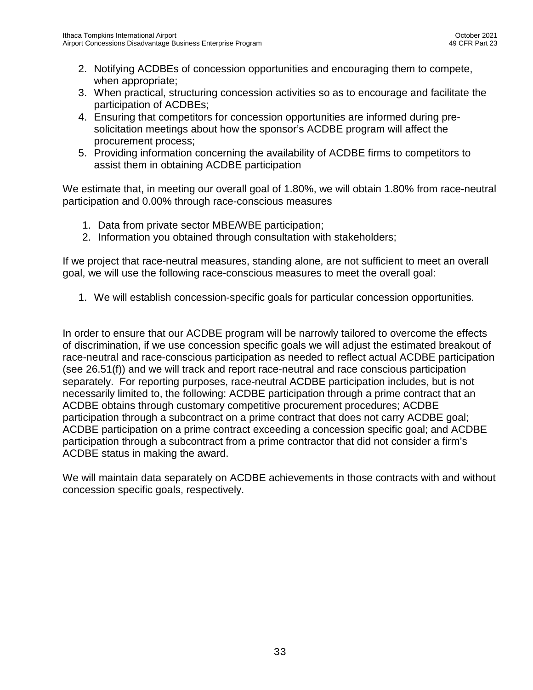- 2. Notifying ACDBEs of concession opportunities and encouraging them to compete, when appropriate;
- 3. When practical, structuring concession activities so as to encourage and facilitate the participation of ACDBEs;
- 4. Ensuring that competitors for concession opportunities are informed during presolicitation meetings about how the sponsor's ACDBE program will affect the procurement process;
- 5. Providing information concerning the availability of ACDBE firms to competitors to assist them in obtaining ACDBE participation

We estimate that, in meeting our overall goal of 1.80%, we will obtain 1.80% from race-neutral participation and 0.00% through race-conscious measures

- 1. Data from private sector MBE/WBE participation;
- 2. Information you obtained through consultation with stakeholders;

If we project that race-neutral measures, standing alone, are not sufficient to meet an overall goal, we will use the following race-conscious measures to meet the overall goal:

1. We will establish concession-specific goals for particular concession opportunities.

In order to ensure that our ACDBE program will be narrowly tailored to overcome the effects of discrimination, if we use concession specific goals we will adjust the estimated breakout of race-neutral and race-conscious participation as needed to reflect actual ACDBE participation (see 26.51(f)) and we will track and report race-neutral and race conscious participation separately. For reporting purposes, race-neutral ACDBE participation includes, but is not necessarily limited to, the following: ACDBE participation through a prime contract that an ACDBE obtains through customary competitive procurement procedures; ACDBE participation through a subcontract on a prime contract that does not carry ACDBE goal; ACDBE participation on a prime contract exceeding a concession specific goal; and ACDBE participation through a subcontract from a prime contractor that did not consider a firm's ACDBE status in making the award.

We will maintain data separately on ACDBE achievements in those contracts with and without concession specific goals, respectively.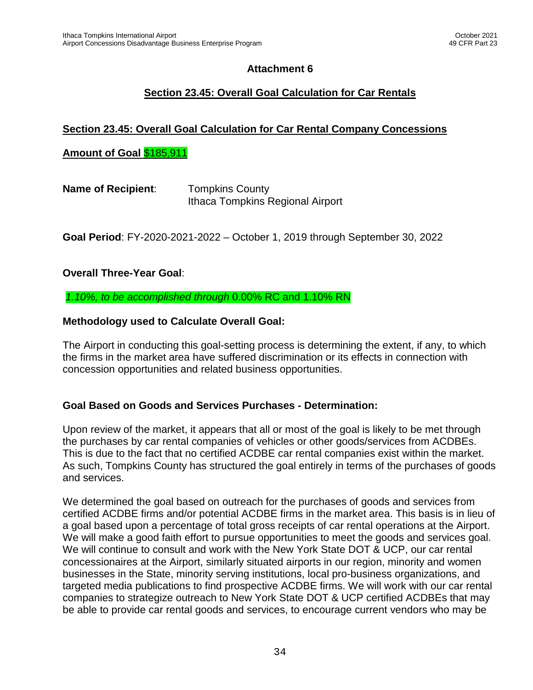# **Section 23.45: Overall Goal Calculation for Car Rentals**

## **Section 23.45: Overall Goal Calculation for Car Rental Company Concessions**

#### **Amount of Goal** \$185,911

| <b>Name of Recipient:</b> | <b>Tompkins County</b>           |
|---------------------------|----------------------------------|
|                           | Ithaca Tompkins Regional Airport |

**Goal Period**: FY-2020-2021-2022 – October 1, 2019 through September 30, 2022

#### **Overall Three-Year Goal**:

*1.10%, to be accomplished through* 0.00% RC and 1.10% RN

#### **Methodology used to Calculate Overall Goal:**

The Airport in conducting this goal-setting process is determining the extent, if any, to which the firms in the market area have suffered discrimination or its effects in connection with concession opportunities and related business opportunities.

#### **Goal Based on Goods and Services Purchases - Determination:**

Upon review of the market, it appears that all or most of the goal is likely to be met through the purchases by car rental companies of vehicles or other goods/services from ACDBEs. This is due to the fact that no certified ACDBE car rental companies exist within the market. As such, Tompkins County has structured the goal entirely in terms of the purchases of goods and services.

We determined the goal based on outreach for the purchases of goods and services from certified ACDBE firms and/or potential ACDBE firms in the market area. This basis is in lieu of a goal based upon a percentage of total gross receipts of car rental operations at the Airport. We will make a good faith effort to pursue opportunities to meet the goods and services goal. We will continue to consult and work with the New York State DOT & UCP, our car rental concessionaires at the Airport, similarly situated airports in our region, minority and women businesses in the State, minority serving institutions, local pro-business organizations, and targeted media publications to find prospective ACDBE firms. We will work with our car rental companies to strategize outreach to New York State DOT & UCP certified ACDBEs that may be able to provide car rental goods and services, to encourage current vendors who may be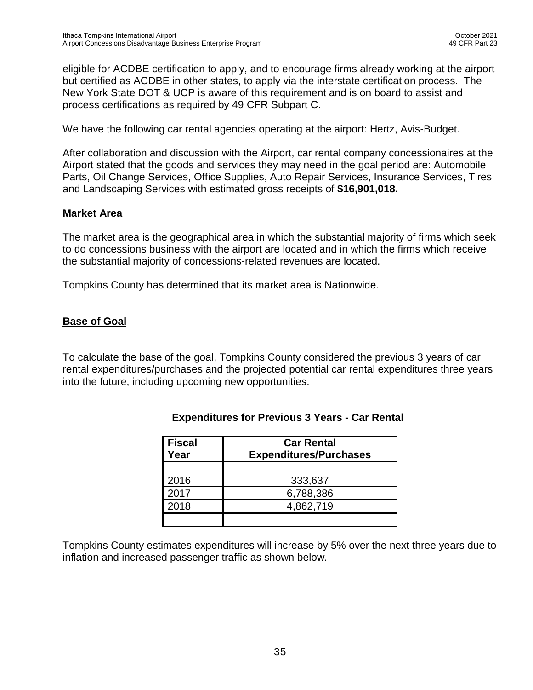eligible for ACDBE certification to apply, and to encourage firms already working at the airport but certified as ACDBE in other states, to apply via the interstate certification process. The New York State DOT & UCP is aware of this requirement and is on board to assist and process certifications as required by 49 CFR Subpart C.

We have the following car rental agencies operating at the airport: Hertz, Avis-Budget.

After collaboration and discussion with the Airport, car rental company concessionaires at the Airport stated that the goods and services they may need in the goal period are: Automobile Parts, Oil Change Services, Office Supplies, Auto Repair Services, Insurance Services, Tires and Landscaping Services with estimated gross receipts of **\$16,901,018.**

## **Market Area**

The market area is the geographical area in which the substantial majority of firms which seek to do concessions business with the airport are located and in which the firms which receive the substantial majority of concessions-related revenues are located.

Tompkins County has determined that its market area is Nationwide.

## **Base of Goal**

To calculate the base of the goal, Tompkins County considered the previous 3 years of car rental expenditures/purchases and the projected potential car rental expenditures three years into the future, including upcoming new opportunities.

| <b>Fiscal</b><br>Year | <b>Car Rental</b><br><b>Expenditures/Purchases</b> |  |  |
|-----------------------|----------------------------------------------------|--|--|
|                       |                                                    |  |  |
| 2016                  | 333,637                                            |  |  |
| 2017                  | 6,788,386                                          |  |  |
| 2018                  | 4,862,719                                          |  |  |
|                       |                                                    |  |  |

## **Expenditures for Previous 3 Years - Car Rental**

Tompkins County estimates expenditures will increase by 5% over the next three years due to inflation and increased passenger traffic as shown below*.*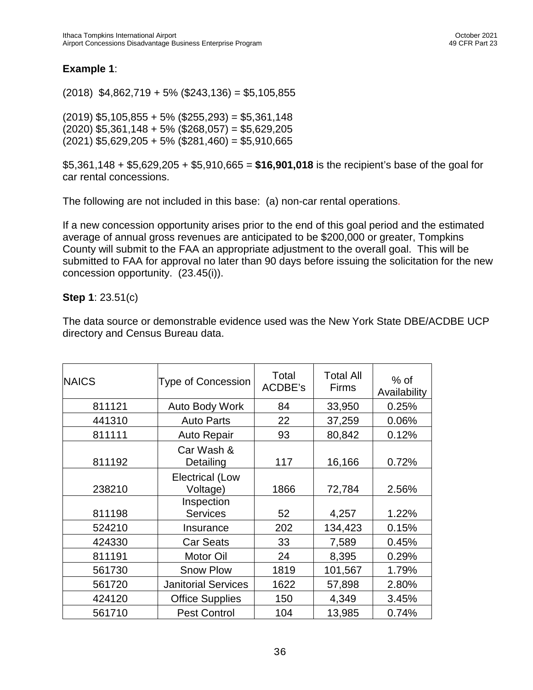#### **Example 1**:

(2018) \$4,862,719 + 5% (\$243,136) = \$5,105,855

 $(2019)$  \$5,105,855 + 5% (\$255,293) = \$5,361,148  $(2020)$  \$5,361,148 + 5% (\$268,057) = \$5,629,205  $(2021)$  \$5,629,205 + 5% (\$281,460) = \$5,910,665

\$5,361,148 + \$5,629,205 + \$5,910,665 = **\$16,901,018** is the recipient's base of the goal for car rental concessions.

The following are not included in this base: (a) non-car rental operations.

If a new concession opportunity arises prior to the end of this goal period and the estimated average of annual gross revenues are anticipated to be \$200,000 or greater, Tompkins County will submit to the FAA an appropriate adjustment to the overall goal. This will be submitted to FAA for approval no later than 90 days before issuing the solicitation for the new concession opportunity. (23.45(i)).

#### **Step 1**: 23.51(c)

The data source or demonstrable evidence used was the New York State DBE/ACDBE UCP directory and Census Bureau data.

| <b>NAICS</b> | <b>Type of Concession</b>          | Total<br>ACDBE's | <b>Total All</b><br><b>Firms</b> | $%$ of<br>Availability |
|--------------|------------------------------------|------------------|----------------------------------|------------------------|
| 811121       | <b>Auto Body Work</b>              | 84               | 33,950                           | 0.25%                  |
| 441310       | <b>Auto Parts</b>                  | 22               | 37,259                           | 0.06%                  |
| 811111       | <b>Auto Repair</b>                 | 93               | 80,842                           | 0.12%                  |
| 811192       | Car Wash &<br>Detailing            | 117              | 16,166                           | 0.72%                  |
| 238210       | <b>Electrical (Low</b><br>Voltage) | 1866             | 72,784                           | 2.56%                  |
| 811198       | Inspection<br><b>Services</b>      | 52               | 4,257                            | 1.22%                  |
| 524210       | Insurance                          | 202              | 134,423                          | 0.15%                  |
| 424330       | <b>Car Seats</b>                   | 33               | 7,589                            | 0.45%                  |
| 811191       | Motor Oil                          | 24               | 8,395                            | 0.29%                  |
| 561730       | <b>Snow Plow</b>                   | 1819             | 101,567                          | 1.79%                  |
| 561720       | <b>Janitorial Services</b>         | 1622             | 57,898                           | 2.80%                  |
| 424120       | <b>Office Supplies</b>             | 150              | 4,349                            | 3.45%                  |
| 561710       | <b>Pest Control</b>                | 104              | 13,985                           | 0.74%                  |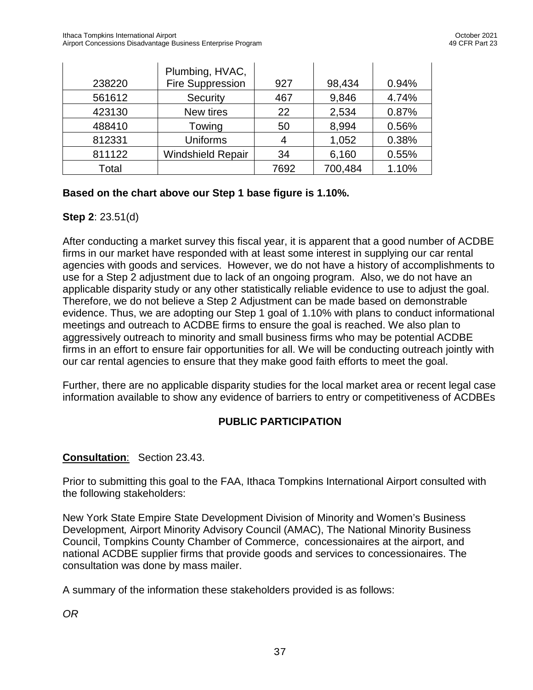|        | Plumbing, HVAC,          |      |         |       |
|--------|--------------------------|------|---------|-------|
| 238220 | Fire Suppression         | 927  | 98,434  | 0.94% |
| 561612 | Security                 | 467  | 9,846   | 4.74% |
| 423130 | New tires                | 22   | 2,534   | 0.87% |
| 488410 | Towing                   | 50   | 8,994   | 0.56% |
| 812331 | <b>Uniforms</b>          | 4    | 1,052   | 0.38% |
| 811122 | <b>Windshield Repair</b> | 34   | 6,160   | 0.55% |
| Total  |                          | 7692 | 700,484 | 1.10% |

## **Based on the chart above our Step 1 base figure is 1.10%.**

## **Step 2**: 23.51(d)

After conducting a market survey this fiscal year, it is apparent that a good number of ACDBE firms in our market have responded with at least some interest in supplying our car rental agencies with goods and services. However, we do not have a history of accomplishments to use for a Step 2 adjustment due to lack of an ongoing program. Also, we do not have an applicable disparity study or any other statistically reliable evidence to use to adjust the goal. Therefore, we do not believe a Step 2 Adjustment can be made based on demonstrable evidence. Thus, we are adopting our Step 1 goal of 1.10% with plans to conduct informational meetings and outreach to ACDBE firms to ensure the goal is reached. We also plan to aggressively outreach to minority and small business firms who may be potential ACDBE firms in an effort to ensure fair opportunities for all. We will be conducting outreach jointly with our car rental agencies to ensure that they make good faith efforts to meet the goal.

Further, there are no applicable disparity studies for the local market area or recent legal case information available to show any evidence of barriers to entry or competitiveness of ACDBEs

## **PUBLIC PARTICIPATION**

#### **Consultation**: Section 23.43.

Prior to submitting this goal to the FAA, Ithaca Tompkins International Airport consulted with the following stakeholders:

New York State Empire State Development Division of Minority and Women's Business Development*,* Airport Minority Advisory Council (AMAC), The National Minority Business Council, Tompkins County Chamber of Commerce, concessionaires at the airport, and national ACDBE supplier firms that provide goods and services to concessionaires. The consultation was done by mass mailer.

A summary of the information these stakeholders provided is as follows:

*OR*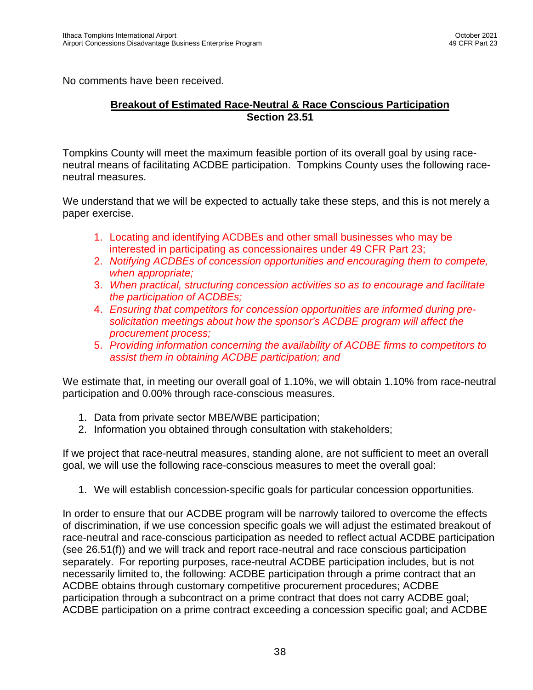No comments have been received.

#### **Breakout of Estimated Race-Neutral & Race Conscious Participation Section 23.51**

Tompkins County will meet the maximum feasible portion of its overall goal by using raceneutral means of facilitating ACDBE participation. Tompkins County uses the following raceneutral measures.

We understand that we will be expected to actually take these steps, and this is not merely a paper exercise.

- 1. Locating and identifying ACDBEs and other small businesses who may be interested in participating as concessionaires under 49 CFR Part 23;
- 2. *Notifying ACDBEs of concession opportunities and encouraging them to compete, when appropriate;*
- 3. *When practical, structuring concession activities so as to encourage and facilitate the participation of ACDBEs;*
- 4. *Ensuring that competitors for concession opportunities are informed during presolicitation meetings about how the sponsor's ACDBE program will affect the procurement process;*
- 5. *Providing information concerning the availability of ACDBE firms to competitors to assist them in obtaining ACDBE participation; and*

We estimate that, in meeting our overall goal of 1.10%, we will obtain 1.10% from race-neutral participation and 0.00% through race-conscious measures.

- 1. Data from private sector MBE/WBE participation;
- 2. Information you obtained through consultation with stakeholders;

If we project that race-neutral measures, standing alone, are not sufficient to meet an overall goal, we will use the following race-conscious measures to meet the overall goal:

1. We will establish concession-specific goals for particular concession opportunities.

In order to ensure that our ACDBE program will be narrowly tailored to overcome the effects of discrimination, if we use concession specific goals we will adjust the estimated breakout of race-neutral and race-conscious participation as needed to reflect actual ACDBE participation (see 26.51(f)) and we will track and report race-neutral and race conscious participation separately. For reporting purposes, race-neutral ACDBE participation includes, but is not necessarily limited to, the following: ACDBE participation through a prime contract that an ACDBE obtains through customary competitive procurement procedures; ACDBE participation through a subcontract on a prime contract that does not carry ACDBE goal; ACDBE participation on a prime contract exceeding a concession specific goal; and ACDBE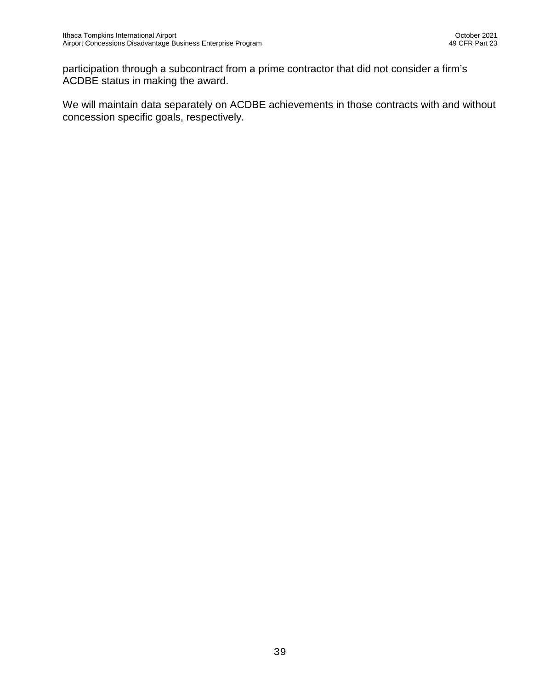participation through a subcontract from a prime contractor that did not consider a firm's ACDBE status in making the award.

We will maintain data separately on ACDBE achievements in those contracts with and without concession specific goals, respectively.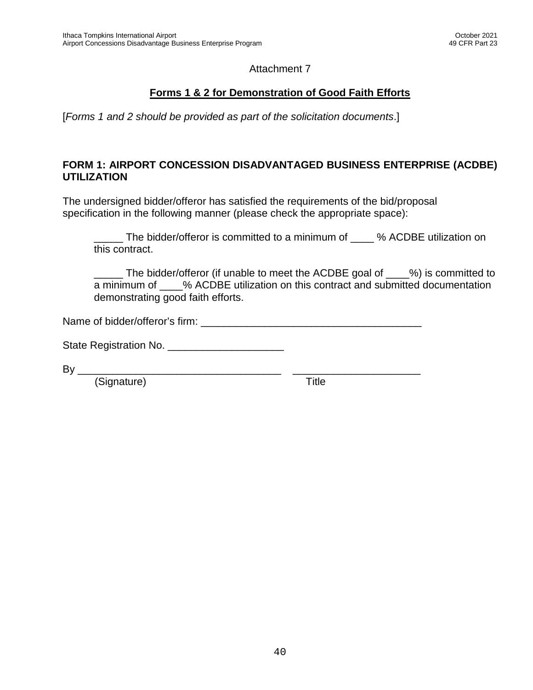# **Forms 1 & 2 for Demonstration of Good Faith Efforts**

[*Forms 1 and 2 should be provided as part of the solicitation documents*.]

#### **FORM 1: AIRPORT CONCESSION DISADVANTAGED BUSINESS ENTERPRISE (ACDBE) UTILIZATION**

The undersigned bidder/offeror has satisfied the requirements of the bid/proposal specification in the following manner (please check the appropriate space):

The bidder/offeror is committed to a minimum of  $\phantom{0}$  % ACDBE utilization on this contract.

\_\_\_\_\_ The bidder/offeror (if unable to meet the ACDBE goal of \_\_\_\_%) is committed to a minimum of \_\_\_\_% ACDBE utilization on this contract and submitted documentation demonstrating good faith efforts.

Name of bidder/offeror's firm:

State Registration No. \_\_\_\_\_\_\_\_\_\_\_\_\_\_\_\_\_\_\_\_

By \_\_\_\_\_\_\_\_\_\_\_\_\_\_\_\_\_\_\_\_\_\_\_\_\_\_\_\_\_\_\_\_\_\_\_ \_\_\_\_\_\_\_\_\_\_\_\_\_\_\_\_\_\_\_\_\_\_

(Signature) Title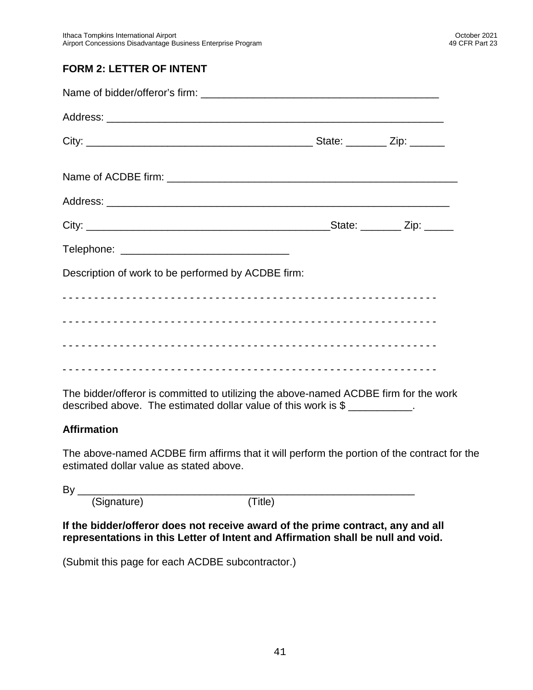# **FORM 2: LETTER OF INTENT**

| Description of work to be performed by ACDBE firm:                                                                                                                  |  |
|---------------------------------------------------------------------------------------------------------------------------------------------------------------------|--|
|                                                                                                                                                                     |  |
|                                                                                                                                                                     |  |
|                                                                                                                                                                     |  |
|                                                                                                                                                                     |  |
| The bidder/offeror is committed to utilizing the above-named ACDBE firm for the work<br>described above. The estimated dollar value of this work is \$ ___________. |  |

#### **Affirmation**

The above-named ACDBE firm affirms that it will perform the portion of the contract for the estimated dollar value as stated above.

By \_\_\_\_\_\_\_\_\_\_\_\_\_\_\_\_\_\_\_\_\_\_\_\_\_\_\_\_\_\_\_\_\_\_\_\_\_\_\_\_\_\_\_\_\_\_\_\_\_\_\_\_\_\_\_\_\_\_

(Signature) (Title)

**If the bidder/offeror does not receive award of the prime contract, any and all representations in this Letter of Intent and Affirmation shall be null and void.**

(Submit this page for each ACDBE subcontractor.)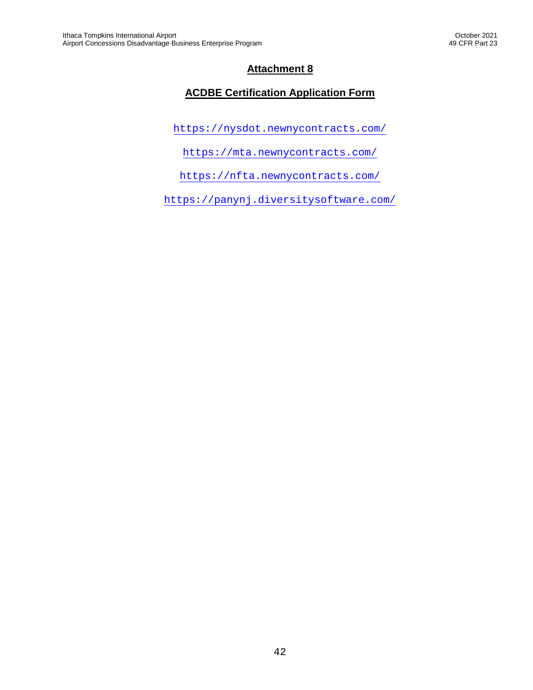# **ACDBE Certification Application Form**

<https://nysdot.newnycontracts.com/>

<https://mta.newnycontracts.com/>

<https://nfta.newnycontracts.com/>

<https://panynj.diversitysoftware.com/>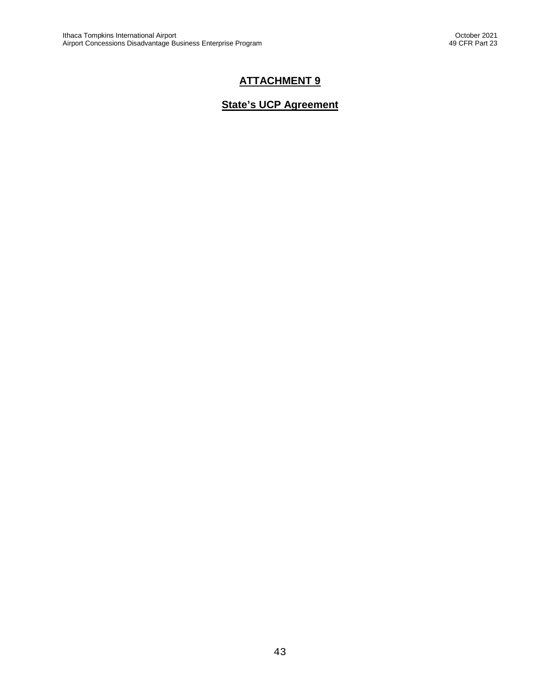# **ATTACHMENT 9**

# **State's UCP Agreement**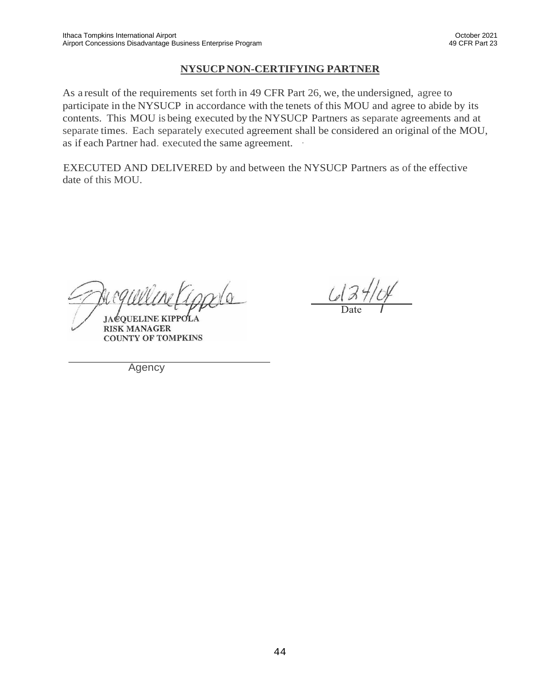#### **NYSUCP NON-CERTIFYING PARTNER**

As a result of the requirements set forth in 49 CFR Part 26, we, the undersigned, agree to participate in the NYSUCP in accordance with the tenets of this MOU and agree to abide by its contents. This MOU is being executed by the NYSUCP Partners as separate agreements and at separate times. Each separately executed agreement shall be considered an original of the MOU, as if each Partner had. executed the same agreement. ·

EXECUTED AND DELIVERED by and between the NYSUCP Partners as of the effective date of this MOU.

**JACOUELINE KIP RISK MANAGER COUNTY OF TOMPKINS** 

 $42464$ 

Agency